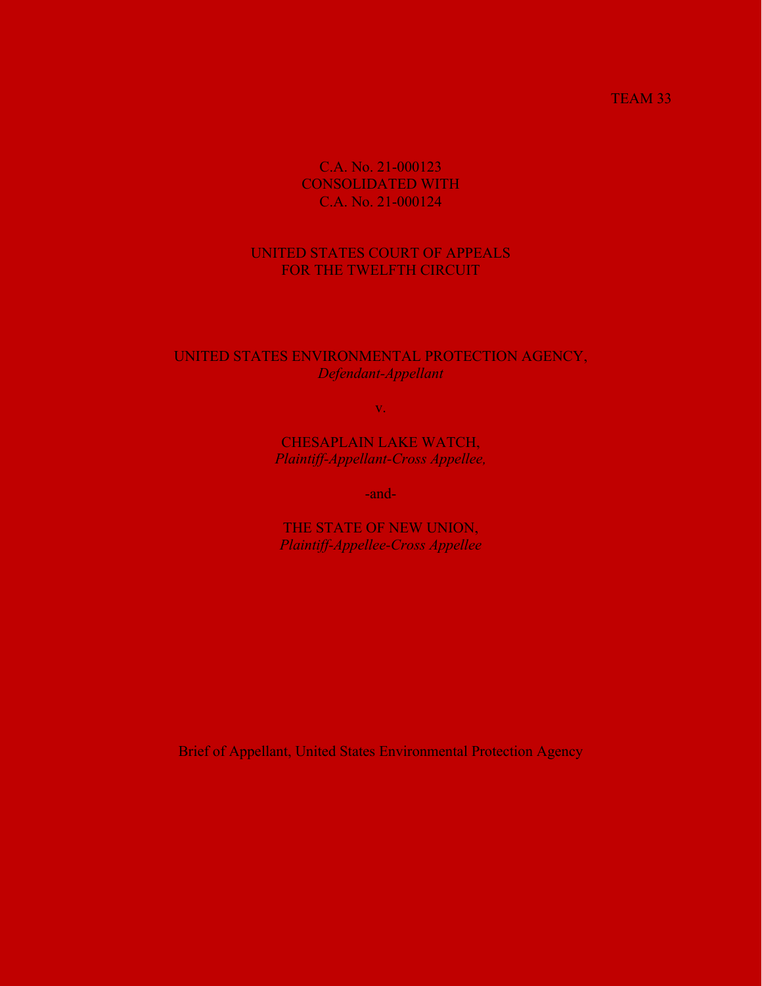### TEAM 33

## C.A. No. 21-000123 CONSOLIDATED WITH C.A. No. 21-000124

## UNITED STATES COURT OF APPEALS FOR THE TWELFTH CIRCUIT

## UNITED STATES ENVIRONMENTAL PROTECTION AGENCY, *Defendant-Appellant*

v.

CHESAPLAIN LAKE WATCH, *Plaintiff-Appellant-Cross Appellee,*

-and-

THE STATE OF NEW UNION, *Plaintiff-Appellee-Cross Appellee*

Brief of Appellant, United States Environmental Protection Agency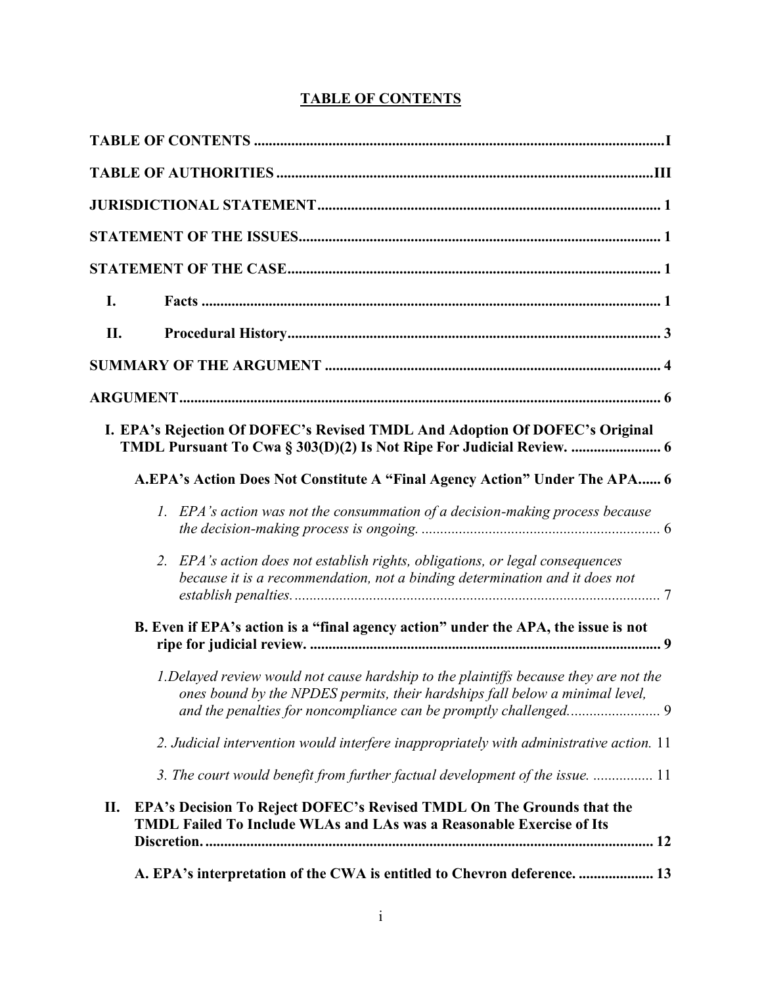# **TABLE OF CONTENTS**

<span id="page-1-0"></span>

| I.  |                                                                                                                                                                       |
|-----|-----------------------------------------------------------------------------------------------------------------------------------------------------------------------|
| II. |                                                                                                                                                                       |
|     |                                                                                                                                                                       |
|     |                                                                                                                                                                       |
|     | I. EPA's Rejection Of DOFEC's Revised TMDL And Adoption Of DOFEC's Original                                                                                           |
|     | A.EPA's Action Does Not Constitute A "Final Agency Action" Under The APA 6                                                                                            |
|     | EPA's action was not the consummation of a decision-making process because<br>1.                                                                                      |
|     | EPA's action does not establish rights, obligations, or legal consequences<br>2.<br>because it is a recommendation, not a binding determination and it does not       |
|     | B. Even if EPA's action is a "final agency action" under the APA, the issue is not                                                                                    |
|     | 1. Delayed review would not cause hardship to the plaintiffs because they are not the<br>ones bound by the NPDES permits, their hardships fall below a minimal level, |
|     | 2. Judicial intervention would interfere inappropriately with administrative action. 11                                                                               |
|     | 3. The court would benefit from further factual development of the issue.  11                                                                                         |
| П.  | EPA's Decision To Reject DOFEC's Revised TMDL On The Grounds that the<br>TMDL Failed To Include WLAs and LAs was a Reasonable Exercise of Its                         |
|     | A. EPA's interpretation of the CWA is entitled to Chevron deference.  13                                                                                              |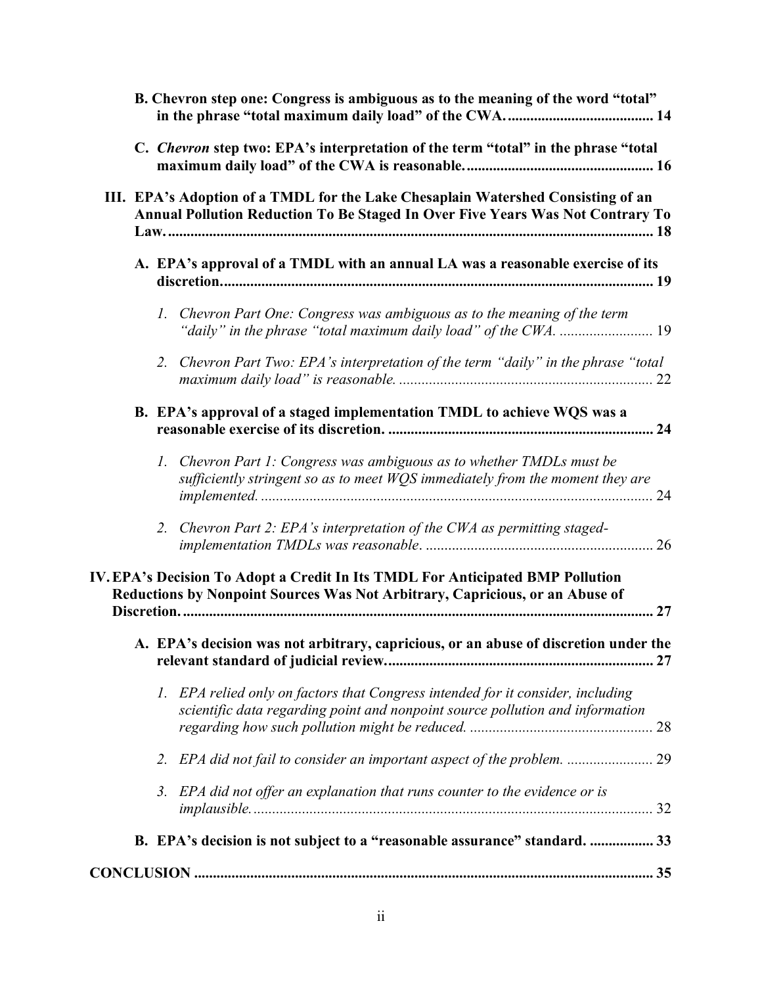|  | B. Chevron step one: Congress is ambiguous as to the meaning of the word "total"                                                                                   |  |
|--|--------------------------------------------------------------------------------------------------------------------------------------------------------------------|--|
|  | C. Chevron step two: EPA's interpretation of the term "total" in the phrase "total                                                                                 |  |
|  | III. EPA's Adoption of a TMDL for the Lake Chesaplain Watershed Consisting of an<br>Annual Pollution Reduction To Be Staged In Over Five Years Was Not Contrary To |  |
|  | A. EPA's approval of a TMDL with an annual LA was a reasonable exercise of its                                                                                     |  |
|  | 1. Chevron Part One: Congress was ambiguous as to the meaning of the term                                                                                          |  |
|  | 2. Chevron Part Two: EPA's interpretation of the term "daily" in the phrase "total                                                                                 |  |
|  | B. EPA's approval of a staged implementation TMDL to achieve WQS was a                                                                                             |  |
|  | 1. Chevron Part 1: Congress was ambiguous as to whether TMDLs must be<br>sufficiently stringent so as to meet WQS immediately from the moment they are             |  |
|  | 2. Chevron Part 2: EPA's interpretation of the CWA as permitting staged-                                                                                           |  |
|  | IV. EPA's Decision To Adopt a Credit In Its TMDL For Anticipated BMP Pollution<br>Reductions by Nonpoint Sources Was Not Arbitrary, Capricious, or an Abuse of     |  |
|  | A. EPA's decision was not arbitrary, capricious, or an abuse of discretion under the                                                                               |  |
|  | 1. EPA relied only on factors that Congress intended for it consider, including<br>scientific data regarding point and nonpoint source pollution and information   |  |
|  | 2. EPA did not fail to consider an important aspect of the problem.  29                                                                                            |  |
|  | 3. EPA did not offer an explanation that runs counter to the evidence or is                                                                                        |  |
|  | B. EPA's decision is not subject to a "reasonable assurance" standard.  33                                                                                         |  |
|  |                                                                                                                                                                    |  |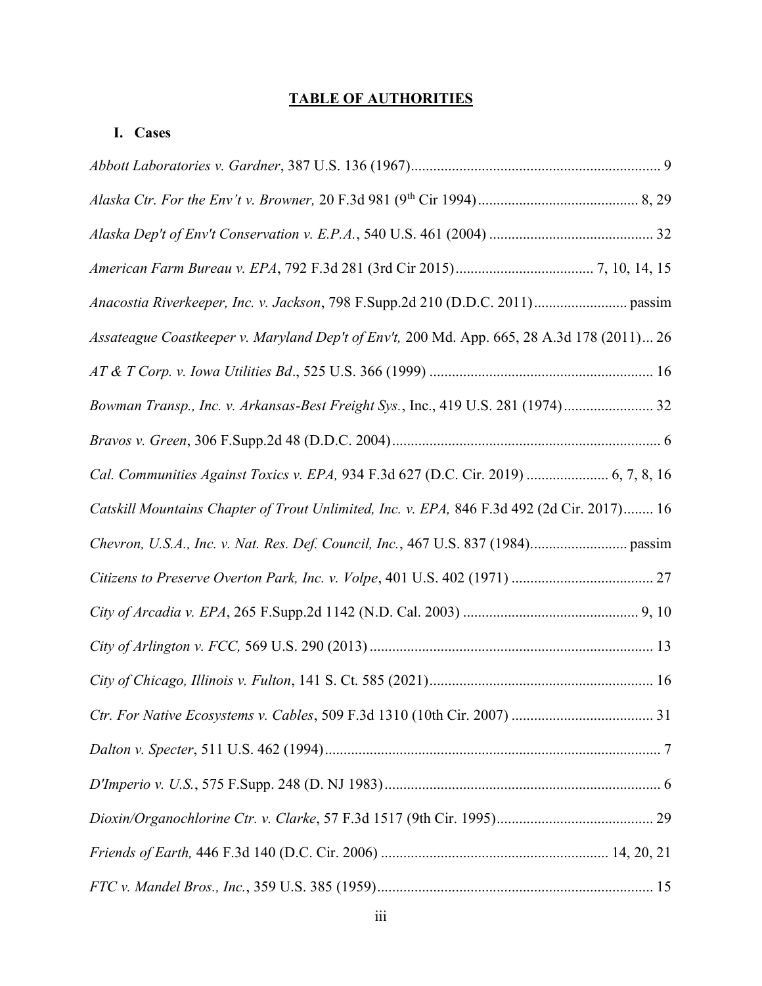# <span id="page-3-0"></span>**TABLE OF AUTHORITIES**

# **I. Cases**

| Assateague Coastkeeper v. Maryland Dep't of Env't, 200 Md. App. 665, 28 A.3d 178 (2011) 26 |  |
|--------------------------------------------------------------------------------------------|--|
|                                                                                            |  |
| Bowman Transp., Inc. v. Arkansas-Best Freight Sys., Inc., 419 U.S. 281 (1974) 32           |  |
|                                                                                            |  |
| Cal. Communities Against Toxics v. EPA, 934 F.3d 627 (D.C. Cir. 2019)  6, 7, 8, 16         |  |
| Catskill Mountains Chapter of Trout Unlimited, Inc. v. EPA, 846 F.3d 492 (2d Cir. 2017) 16 |  |
|                                                                                            |  |
|                                                                                            |  |
|                                                                                            |  |
|                                                                                            |  |
|                                                                                            |  |
|                                                                                            |  |
|                                                                                            |  |
|                                                                                            |  |
|                                                                                            |  |
|                                                                                            |  |
|                                                                                            |  |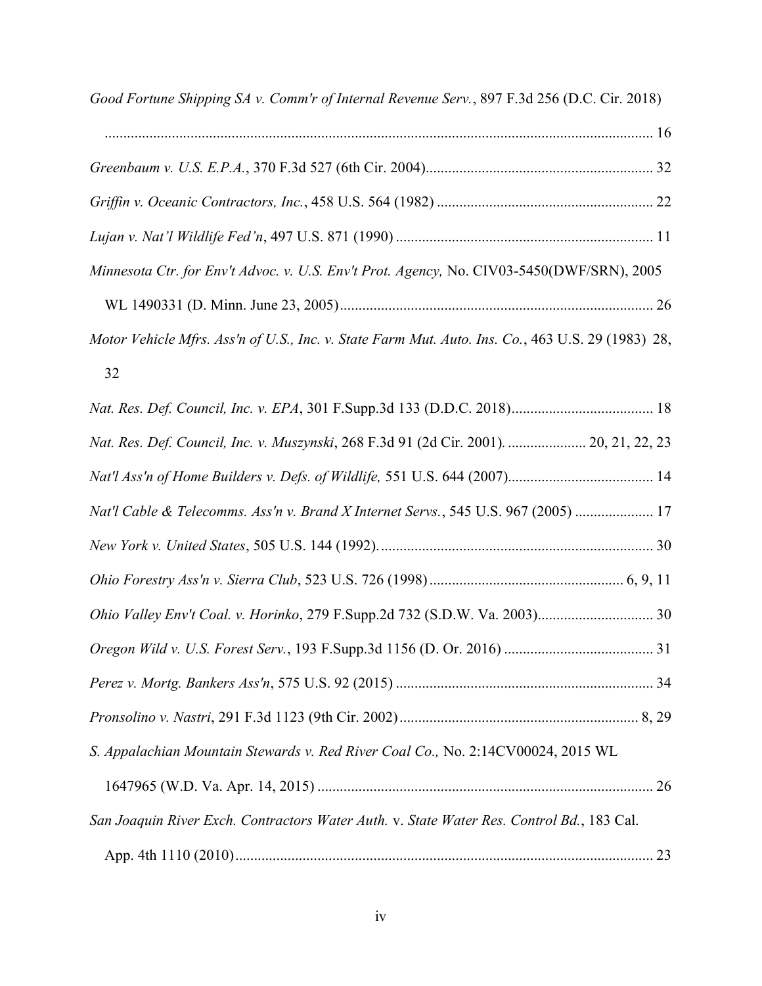| Good Fortune Shipping SA v. Comm'r of Internal Revenue Serv., 897 F.3d 256 (D.C. Cir. 2018)       |  |
|---------------------------------------------------------------------------------------------------|--|
|                                                                                                   |  |
|                                                                                                   |  |
|                                                                                                   |  |
|                                                                                                   |  |
| Minnesota Ctr. for Env't Advoc. v. U.S. Env't Prot. Agency, No. CIV03-5450(DWF/SRN), 2005         |  |
|                                                                                                   |  |
| Motor Vehicle Mfrs. Ass'n of U.S., Inc. v. State Farm Mut. Auto. Ins. Co., 463 U.S. 29 (1983) 28, |  |
| 32                                                                                                |  |
|                                                                                                   |  |
| Nat. Res. Def. Council, Inc. v. Muszynski, 268 F.3d 91 (2d Cir. 2001).  20, 21, 22, 23            |  |
|                                                                                                   |  |
| Nat'l Cable & Telecomms. Ass'n v. Brand X Internet Servs., 545 U.S. 967 (2005)  17                |  |
|                                                                                                   |  |
|                                                                                                   |  |
|                                                                                                   |  |
|                                                                                                   |  |
|                                                                                                   |  |
|                                                                                                   |  |
| S. Appalachian Mountain Stewards v. Red River Coal Co., No. 2:14CV00024, 2015 WL                  |  |
|                                                                                                   |  |
| San Joaquin River Exch. Contractors Water Auth. v. State Water Res. Control Bd., 183 Cal.         |  |
|                                                                                                   |  |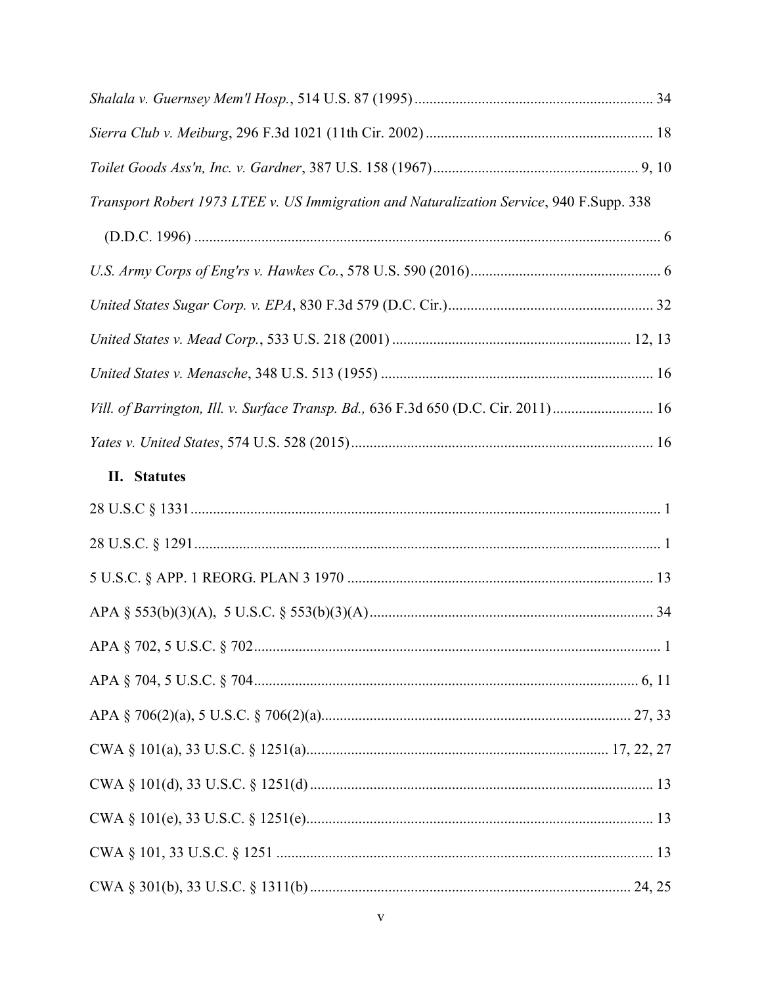| Transport Robert 1973 LTEE v. US Immigration and Naturalization Service, 940 F.Supp. 338 |  |
|------------------------------------------------------------------------------------------|--|
|                                                                                          |  |
|                                                                                          |  |
|                                                                                          |  |
|                                                                                          |  |
|                                                                                          |  |
| Vill. of Barrington, Ill. v. Surface Transp. Bd., 636 F.3d 650 (D.C. Cir. 2011) 16       |  |
|                                                                                          |  |
| II. Statutes                                                                             |  |
|                                                                                          |  |
|                                                                                          |  |
|                                                                                          |  |
|                                                                                          |  |
|                                                                                          |  |
|                                                                                          |  |
|                                                                                          |  |
|                                                                                          |  |
|                                                                                          |  |
|                                                                                          |  |
|                                                                                          |  |
|                                                                                          |  |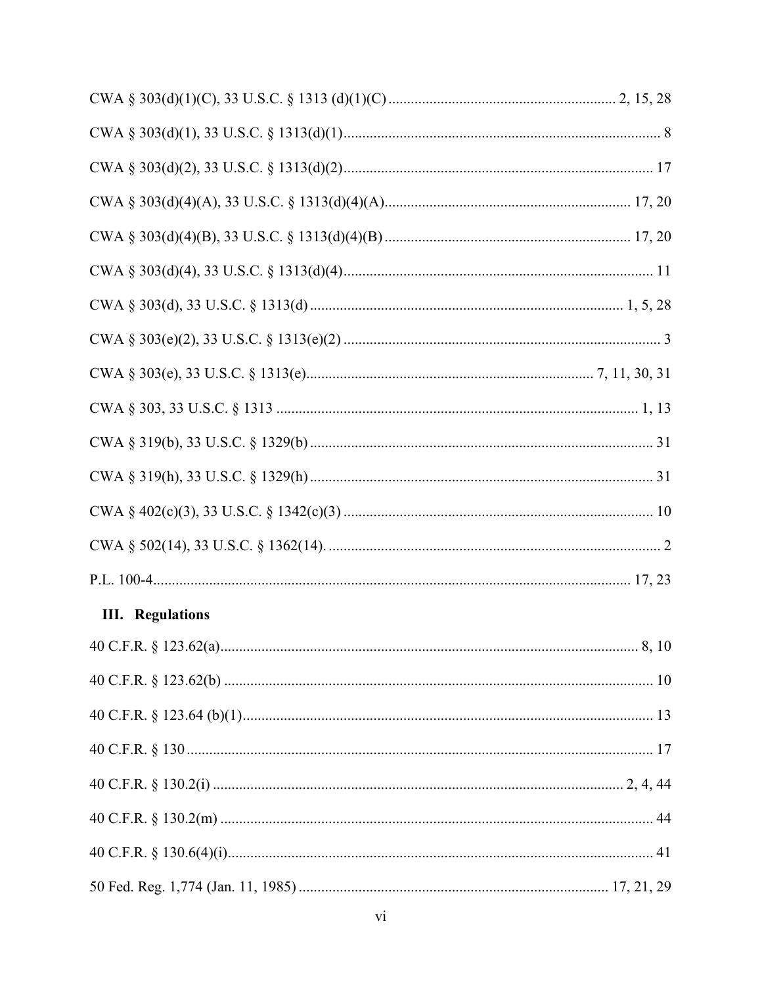| <b>III.</b> Regulations |  |
|-------------------------|--|
|                         |  |
|                         |  |
|                         |  |
|                         |  |
|                         |  |
|                         |  |
|                         |  |
|                         |  |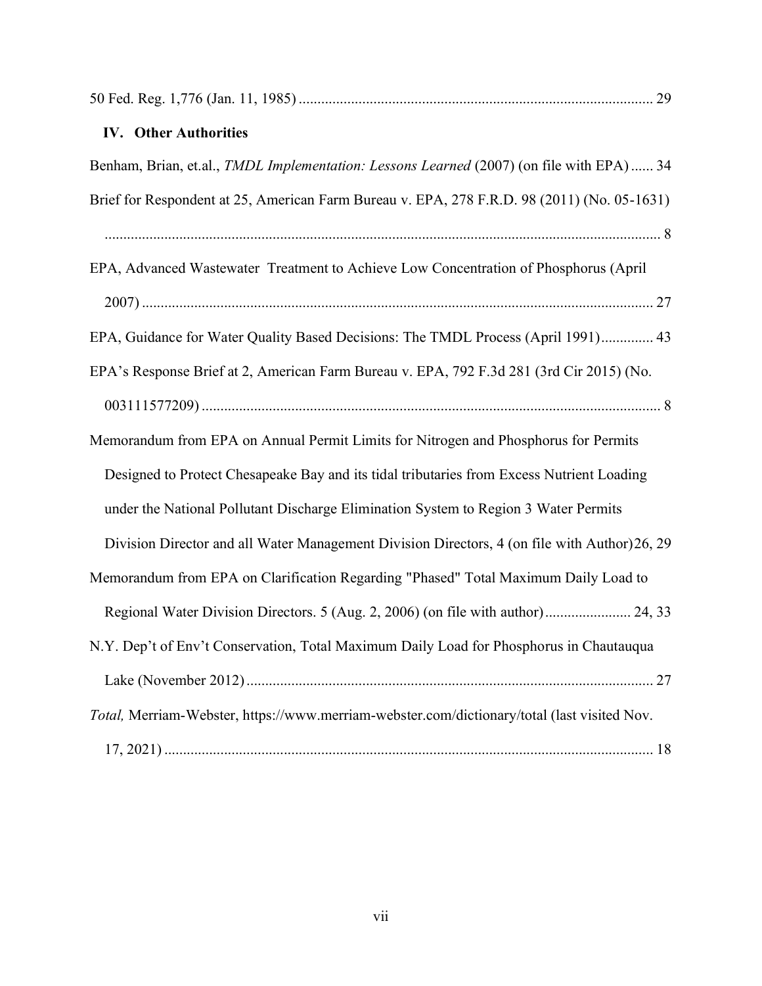| <b>IV.</b> Other Authorities                                                                 |  |
|----------------------------------------------------------------------------------------------|--|
| Benham, Brian, et.al., TMDL Implementation: Lessons Learned (2007) (on file with EPA)  34    |  |
| Brief for Respondent at 25, American Farm Bureau v. EPA, 278 F.R.D. 98 (2011) (No. 05-1631)  |  |
|                                                                                              |  |
| EPA, Advanced Wastewater Treatment to Achieve Low Concentration of Phosphorus (April         |  |
|                                                                                              |  |
| EPA, Guidance for Water Quality Based Decisions: The TMDL Process (April 1991) 43            |  |
| EPA's Response Brief at 2, American Farm Bureau v. EPA, 792 F.3d 281 (3rd Cir 2015) (No.     |  |
|                                                                                              |  |
| Memorandum from EPA on Annual Permit Limits for Nitrogen and Phosphorus for Permits          |  |
| Designed to Protect Chesapeake Bay and its tidal tributaries from Excess Nutrient Loading    |  |
| under the National Pollutant Discharge Elimination System to Region 3 Water Permits          |  |
| Division Director and all Water Management Division Directors, 4 (on file with Author)26, 29 |  |
| Memorandum from EPA on Clarification Regarding "Phased" Total Maximum Daily Load to          |  |
| Regional Water Division Directors. 5 (Aug. 2, 2006) (on file with author) 24, 33             |  |
| N.Y. Dep't of Env't Conservation, Total Maximum Daily Load for Phosphorus in Chautauqua      |  |
|                                                                                              |  |
| Total, Merriam-Webster, https://www.merriam-webster.com/dictionary/total (last visited Nov.  |  |
|                                                                                              |  |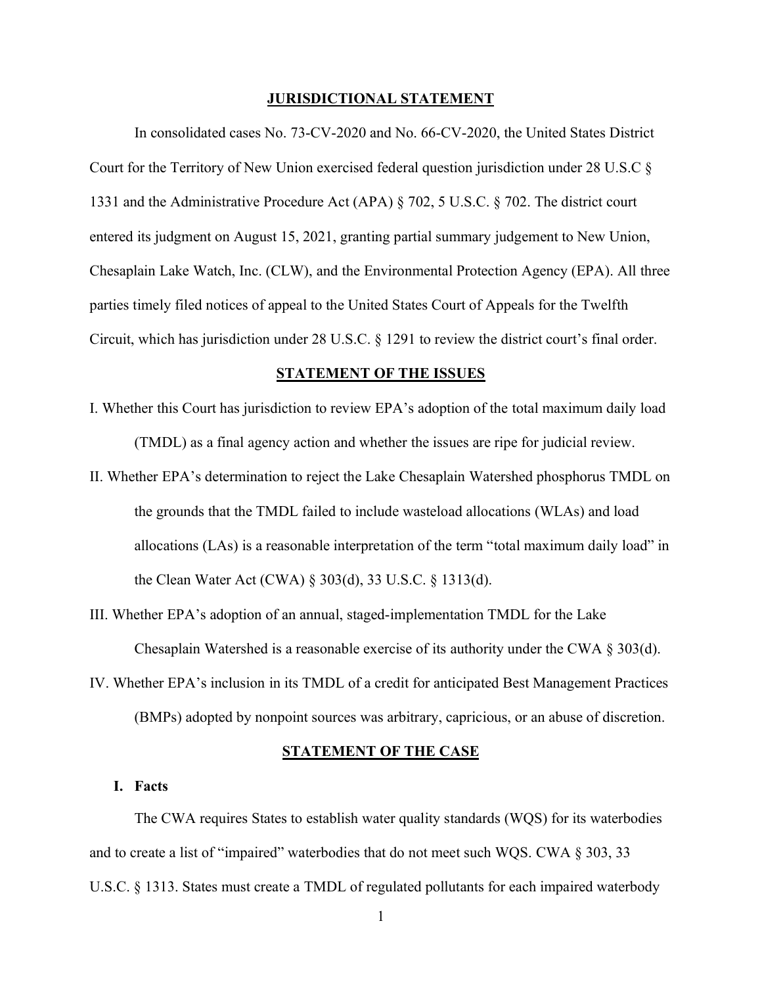#### **JURISDICTIONAL STATEMENT**

<span id="page-8-0"></span>In consolidated cases No. 73-CV-2020 and No. 66-CV-2020, the United States District Court for the Territory of New Union exercised federal question jurisdiction under 28 U.S.C § 1331 and the Administrative Procedure Act (APA) § 702, 5 U.S.C. § 702. The district court entered its judgment on August 15, 2021, granting partial summary judgement to New Union, Chesaplain Lake Watch, Inc. (CLW), and the Environmental Protection Agency (EPA). All three parties timely filed notices of appeal to the United States Court of Appeals for the Twelfth Circuit, which has jurisdiction under  $28$  U.S.C. § 1291 to review the district court's final order.

#### **STATEMENT OF THE ISSUES**

- <span id="page-8-1"></span>I. Whether this Court has jurisdiction to review EPA's adoption of the total maximum daily load (TMDL) as a final agency action and whether the issues are ripe for judicial review.
- II. Whether EPA's determination to reject the Lake Chesaplain Watershed phosphorus TMDL on the grounds that the TMDL failed to include wasteload allocations (WLAs) and load allocations (LAs) is a reasonable interpretation of the term "total maximum daily load" in the Clean Water Act (CWA) § 303(d), 33 U.S.C. § 1313(d).
- III. Whether EPA's adoption of an annual, staged-implementation TMDL for the Lake Chesaplain Watershed is a reasonable exercise of its authority under the CWA § 303(d).
- IV. Whether EPA's inclusion in its TMDL of a credit for anticipated Best Management Practices (BMPs) adopted by nonpoint sources was arbitrary, capricious, or an abuse of discretion.

#### **STATEMENT OF THE CASE**

#### <span id="page-8-3"></span><span id="page-8-2"></span>**I. Facts**

The CWA requires States to establish water quality standards (WQS) for its waterbodies and to create a list of "impaired" waterbodies that do not meet such WQS. CWA  $\S$  303, 33 U.S.C. § 1313. States must create a TMDL of regulated pollutants for each impaired waterbody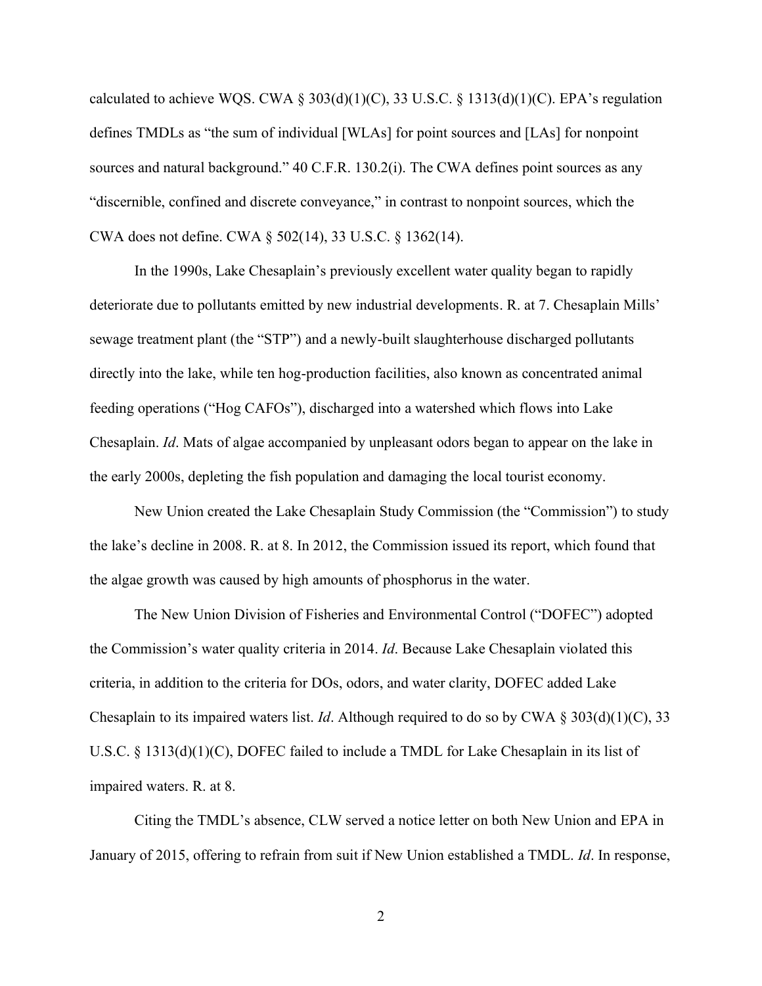calculated to achieve WQS. CWA §  $303(d)(1)(C)$ , 33 U.S.C. § 1313(d)(1)(C). EPA's regulation defines TMDLs as "the sum of individual [WLAs] for point sources and  $[LAS]$  for nonpoint sources and natural background."  $40$  C.F.R. 130.2(i). The CWA defines point sources as any "discernible, confined and discrete conveyance," in contrast to nonpoint sources, which the CWA does not define. CWA § 502(14), 33 U.S.C. § 1362(14).

In the 1990s, Lake Chesaplain's previously excellent water quality began to rapidly deteriorate due to pollutants emitted by new industrial developments. R. at 7. Chesaplain Mills' sewage treatment plant (the "STP") and a newly-built slaughterhouse discharged pollutants directly into the lake, while ten hog-production facilities, also known as concentrated animal feeding operations ("Hog CAFOs"), discharged into a watershed which flows into Lake Chesaplain. *Id*. Mats of algae accompanied by unpleasant odors began to appear on the lake in the early 2000s, depleting the fish population and damaging the local tourist economy.

New Union created the Lake Chesaplain Study Commission (the "Commission") to study the lake's decline in 2008. R. at 8. In 2012, the Commission issued its report, which found that the algae growth was caused by high amounts of phosphorus in the water.

The New Union Division of Fisheries and Environmental Control ("DOFEC") adopted the Commission's water quality criteria in 2014. *Id*. Because Lake Chesaplain violated this criteria, in addition to the criteria for DOs, odors, and water clarity, DOFEC added Lake Chesaplain to its impaired waters list. *Id*. Although required to do so by CWA § 303(d)(1)(C), 33 U.S.C. § 1313(d)(1)(C), DOFEC failed to include a TMDL for Lake Chesaplain in its list of impaired waters. R. at 8.

Citing the TMDL's absence, CLW served a notice letter on both New Union and EPA in January of 2015, offering to refrain from suit if New Union established a TMDL. *Id*. In response,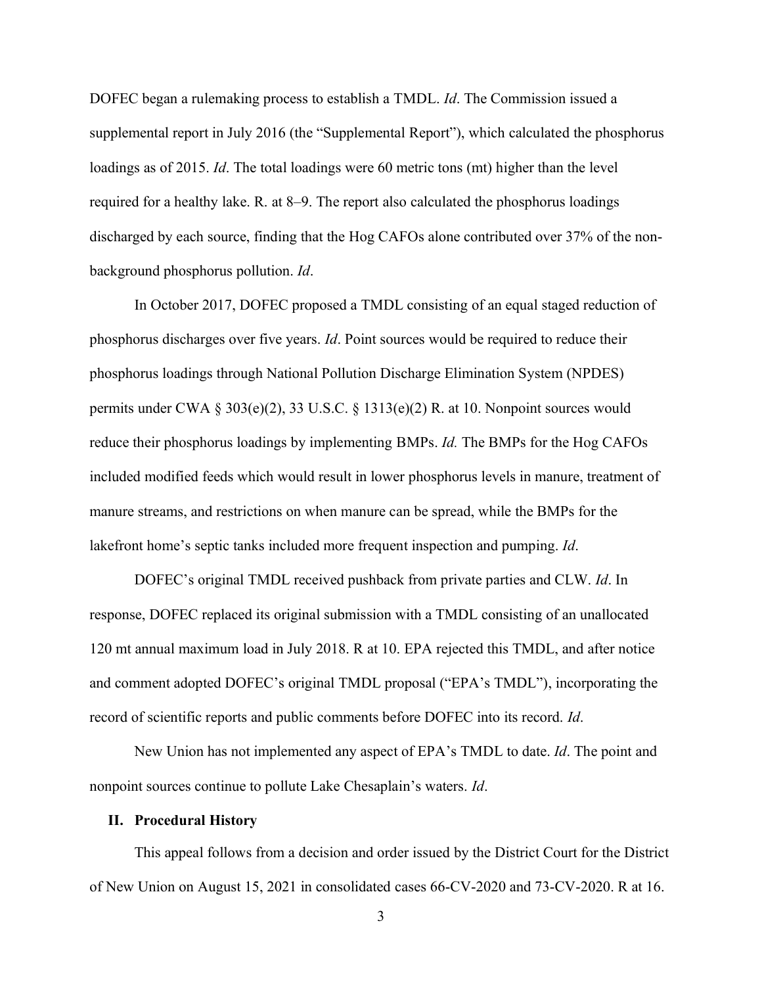DOFEC began a rulemaking process to establish a TMDL. *Id*. The Commission issued a supplemental report in July 2016 (the "Supplemental Report"), which calculated the phosphorus loadings as of 2015. *Id*. The total loadings were 60 metric tons (mt) higher than the level required for a healthy lake. R. at 8–9. The report also calculated the phosphorus loadings discharged by each source, finding that the Hog CAFOs alone contributed over 37% of the nonbackground phosphorus pollution. *Id*.

In October 2017, DOFEC proposed a TMDL consisting of an equal staged reduction of phosphorus discharges over five years. *Id*. Point sources would be required to reduce their phosphorus loadings through National Pollution Discharge Elimination System (NPDES) permits under CWA § 303(e)(2), 33 U.S.C. § 1313(e)(2) R. at 10. Nonpoint sources would reduce their phosphorus loadings by implementing BMPs. *Id.* The BMPs for the Hog CAFOs included modified feeds which would result in lower phosphorus levels in manure, treatment of manure streams, and restrictions on when manure can be spread, while the BMPs for the lakefront home's septic tanks included more frequent inspection and pumping. *Id*.

DOFEC's original TMDL received pushback from private parties and CLW. *Id*. In response, DOFEC replaced its original submission with a TMDL consisting of an unallocated 120 mt annual maximum load in July 2018. R at 10. EPA rejected this TMDL, and after notice and comment adopted DOFEC's original TMDL proposal ("EPA's TMDL"), incorporating the record of scientific reports and public comments before DOFEC into its record. *Id*.

New Union has not implemented any aspect of EPA's TMDL to date. *Id*. The point and nonpoint sources continue to pollute Lake Chesaplain's waters. *Id.* 

#### <span id="page-10-0"></span>**II. Procedural History**

This appeal follows from a decision and order issued by the District Court for the District of New Union on August 15, 2021 in consolidated cases 66-CV-2020 and 73-CV-2020. R at 16.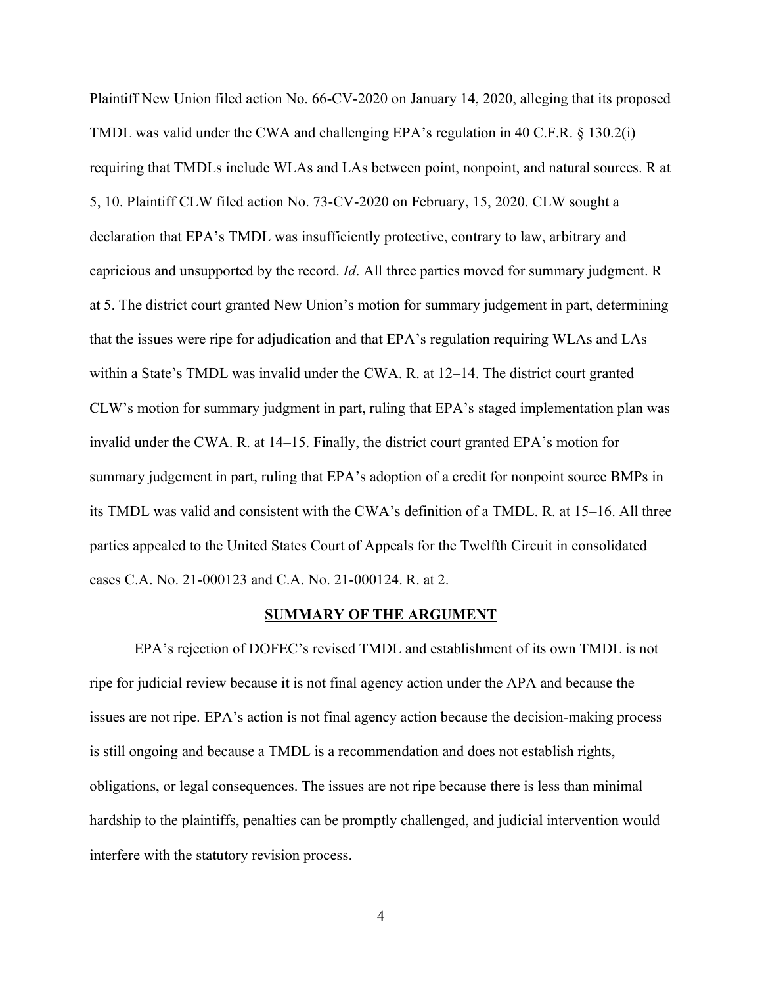Plaintiff New Union filed action No. 66-CV-2020 on January 14, 2020, alleging that its proposed TMDL was valid under the CWA and challenging EPA's regulation in 40 C.F.R.  $\S$  130.2(i) requiring that TMDLs include WLAs and LAs between point, nonpoint, and natural sources. R at 5, 10. Plaintiff CLW filed action No. 73-CV-2020 on February, 15, 2020. CLW sought a declaration that EPA's TMDL was insufficiently protective, contrary to law, arbitrary and capricious and unsupported by the record. *Id*. All three parties moved for summary judgment. R at 5. The district court granted New Union's motion for summary judgement in part, determining that the issues were ripe for adjudication and that EPA's regulation requiring WLAs and LAs within a State's TMDL was invalid under the CWA. R. at  $12-14$ . The district court granted CLW's motion for summary judgment in part, ruling that EPA's staged implementation plan was invalid under the CWA. R. at  $14-15$ . Finally, the district court granted EPA's motion for summary judgement in part, ruling that EPA's adoption of a credit for nonpoint source BMPs in its TMDL was valid and consistent with the CWA's definition of a TMDL. R. at  $15-16$ . All three parties appealed to the United States Court of Appeals for the Twelfth Circuit in consolidated cases C.A. No. 21-000123 and C.A. No. 21-000124. R. at 2.

#### **SUMMARY OF THE ARGUMENT**

<span id="page-11-0"></span>EPA's rejection of DOFEC's revised TMDL and establishment of its own TMDL is not ripe for judicial review because it is not final agency action under the APA and because the issues are not ripe. EPA's action is not final agency action because the decision-making process is still ongoing and because a TMDL is a recommendation and does not establish rights, obligations, or legal consequences. The issues are not ripe because there is less than minimal hardship to the plaintiffs, penalties can be promptly challenged, and judicial intervention would interfere with the statutory revision process.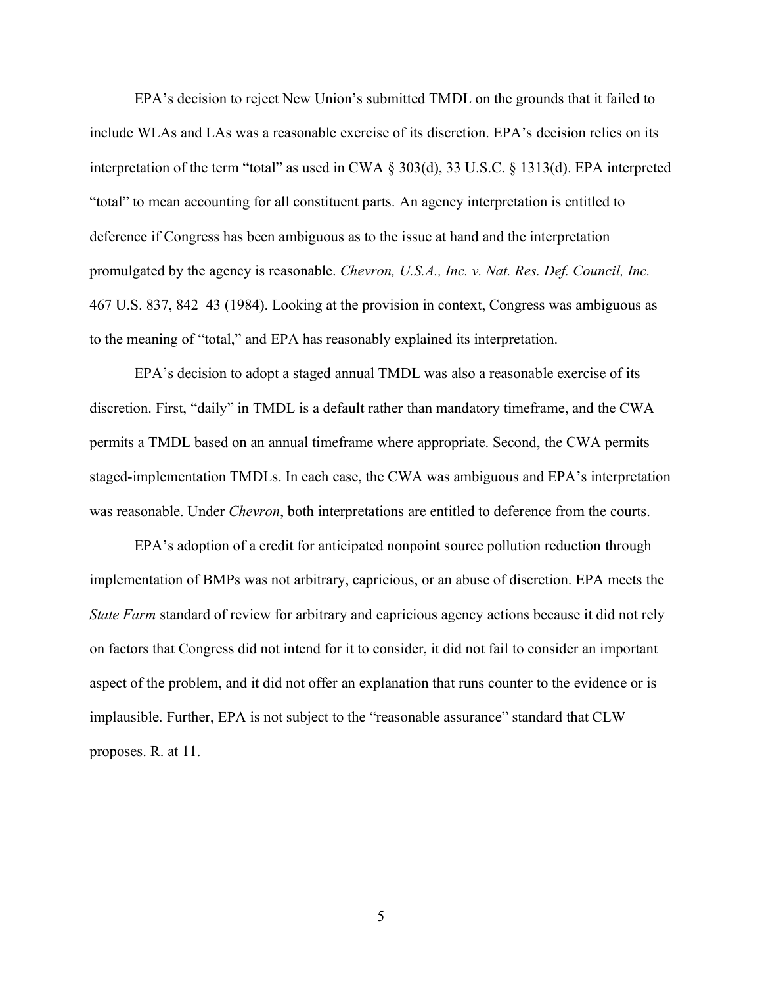EPA's decision to reject New Union's submitted TMDL on the grounds that it failed to include WLAs and LAs was a reasonable exercise of its discretion. EPA's decision relies on its interpretation of the term "total" as used in CWA  $\S 303(d)$ , 33 U.S.C.  $\S 1313(d)$ . EPA interpreted "total" to mean accounting for all constituent parts. An agency interpretation is entitled to deference if Congress has been ambiguous as to the issue at hand and the interpretation promulgated by the agency is reasonable. *Chevron, U.S.A., Inc. v. Nat. Res. Def. Council, Inc.*  467 U.S. 837, 842–43 (1984). Looking at the provision in context, Congress was ambiguous as to the meaning of "total," and EPA has reasonably explained its interpretation.

EPA's decision to adopt a staged annual TMDL was also a reasonable exercise of its discretion. First, "daily" in TMDL is a default rather than mandatory timeframe, and the CWA permits a TMDL based on an annual timeframe where appropriate. Second, the CWA permits staged-implementation TMDLs. In each case, the CWA was ambiguous and EPA's interpretation was reasonable. Under *Chevron*, both interpretations are entitled to deference from the courts.

EPA's adoption of a credit for anticipated nonpoint source pollution reduction through implementation of BMPs was not arbitrary, capricious, or an abuse of discretion. EPA meets the *State Farm* standard of review for arbitrary and capricious agency actions because it did not rely on factors that Congress did not intend for it to consider, it did not fail to consider an important aspect of the problem, and it did not offer an explanation that runs counter to the evidence or is implausible. Further, EPA is not subject to the "reasonable assurance" standard that CLW proposes. R. at 11.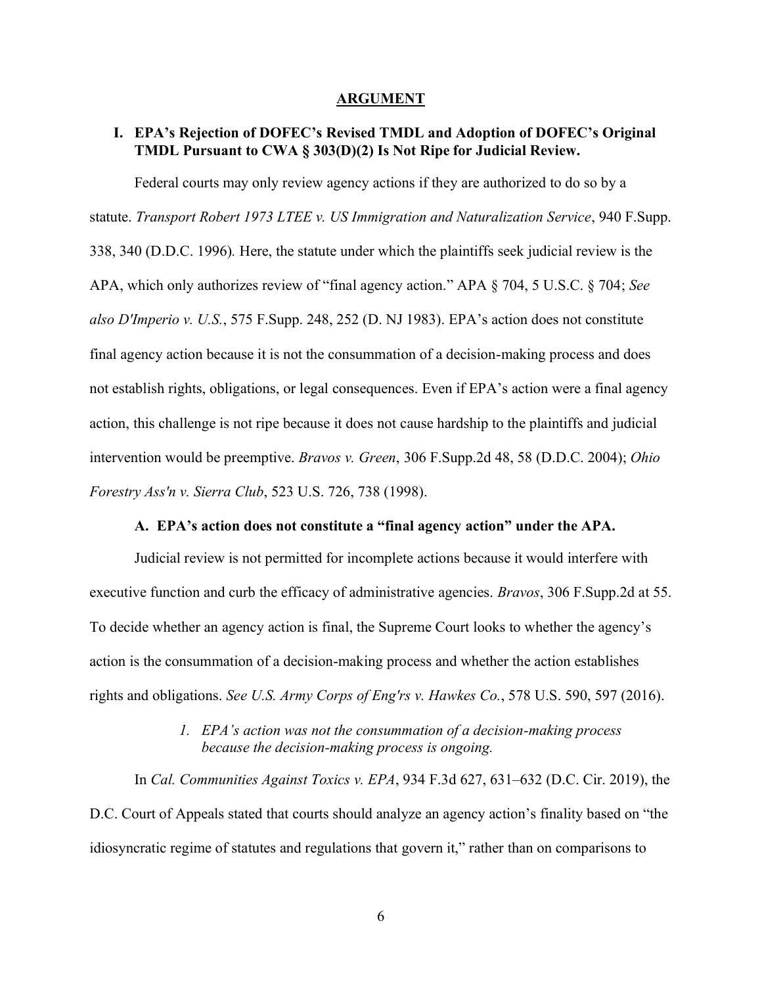#### **ARGUMENT**

### <span id="page-13-1"></span><span id="page-13-0"></span>**I. EPA's Rejection of DOFEC's Revised TMDL and Adoption of DOFEC's Original TMDL Pursuant to CWA § 303(D)(2) Is Not Ripe for Judicial Review.**

Federal courts may only review agency actions if they are authorized to do so by a statute. *Transport Robert 1973 LTEE v. US Immigration and Naturalization Service*, 940 F.Supp. 338, 340 (D.D.C. 1996)*.* Here, the statute under which the plaintiffs seek judicial review is the APA, which only authorizes review of "final agency action." APA § 704, 5 U.S.C. § 704; *See*  $also\,D'Imperio\,v. \, U.S.,\,575\,F.Supp. \,248,\,252\, (D. \,NI\,1983). \,EPA's\,action\,does\,not\, constitute$ final agency action because it is not the consummation of a decision-making process and does not establish rights, obligations, or legal consequences. Even if EPA's action were a final agency action, this challenge is not ripe because it does not cause hardship to the plaintiffs and judicial intervention would be preemptive. *Bravos v. Green*, 306 F.Supp.2d 48, 58 (D.D.C. 2004); *Ohio Forestry Ass'n v. Sierra Club*, 523 U.S. 726, 738 (1998).

#### A. **EPA's action does not constitute a "final agency action" under the APA.**

<span id="page-13-2"></span>Judicial review is not permitted for incomplete actions because it would interfere with executive function and curb the efficacy of administrative agencies. *Bravos*, 306 F.Supp.2d at 55. To decide whether an agency action is final, the Supreme Court looks to whether the agency's action is the consummation of a decision-making process and whether the action establishes rights and obligations. *See U.S. Army Corps of Eng'rs v. Hawkes Co.*, 578 U.S. 590, 597 (2016).

### *l. EPA's action was not the consummation of a decision-making process because the decision-making process is ongoing.*

<span id="page-13-3"></span>In *Cal. Communities Against Toxics v. EPA*, 934 F.3d 627, 631–632 (D.C. Cir. 2019), the D.C. Court of Appeals stated that courts should analyze an agency action's finality based on "the idiosyncratic regime of statutes and regulations that govern it," rather than on comparisons to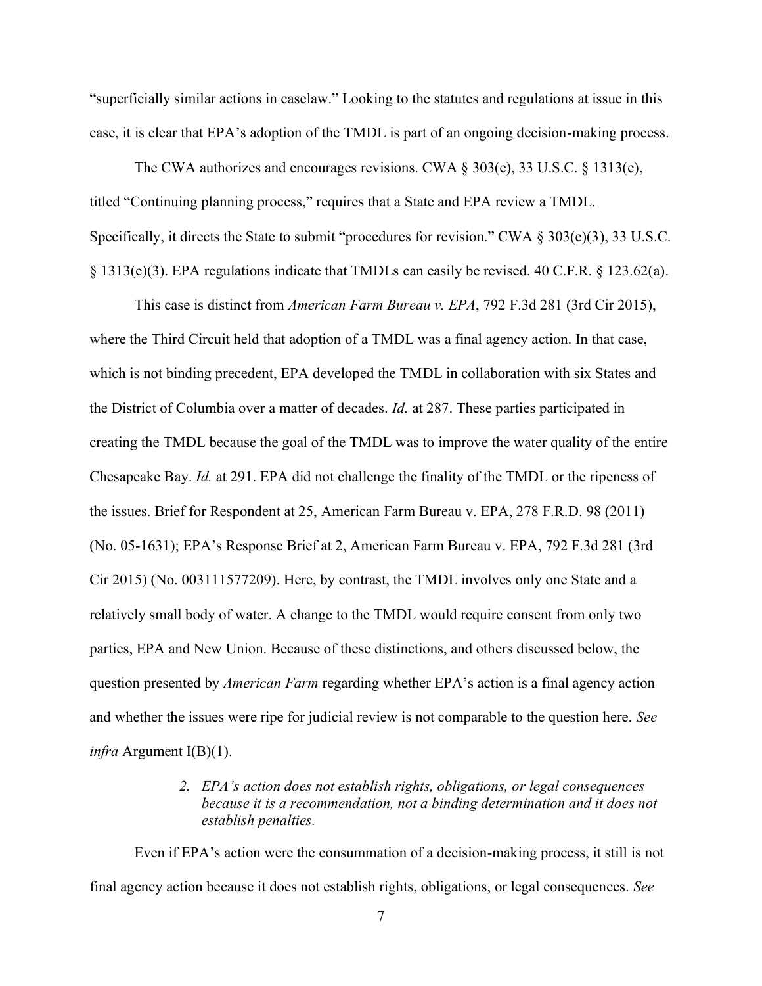"superficially similar actions in caselaw." Looking to the statutes and regulations at issue in this case, it is clear that EPA's adoption of the TMDL is part of an ongoing decision-making process.

The CWA authorizes and encourages revisions. CWA  $\S 303(e)$ , 33 U.S.C.  $\S 1313(e)$ , titled "Continuing planning process," requires that a State and EPA review a TMDL. Specifically, it directs the State to submit "procedures for revision." CWA  $\S 303(e)(3)$ , 33 U.S.C. § 1313(e)(3). EPA regulations indicate that TMDLs can easily be revised. 40 C.F.R. § 123.62(a).

This case is distinct from *American Farm Bureau v. EPA*, 792 F.3d 281 (3rd Cir 2015), where the Third Circuit held that adoption of a TMDL was a final agency action. In that case, which is not binding precedent, EPA developed the TMDL in collaboration with six States and the District of Columbia over a matter of decades. *Id.* at 287. These parties participated in creating the TMDL because the goal of the TMDL was to improve the water quality of the entire Chesapeake Bay. *Id.* at 291. EPA did not challenge the finality of the TMDL or the ripeness of the issues. Brief for Respondent at 25, American Farm Bureau v. EPA, 278 F.R.D. 98 (2011) (No. 05-1631); EPA's Response Brief at 2, American Farm Bureau v. EPA,  $792$  F.3d 281 (3rd) Cir 2015) (No. 003111577209). Here, by contrast, the TMDL involves only one State and a relatively small body of water. A change to the TMDL would require consent from only two parties, EPA and New Union. Because of these distinctions, and others discussed below, the question presented by *American Farm* regarding whether EPA's action is a final agency action and whether the issues were ripe for judicial review is not comparable to the question here. *See infra* Argument I(B)(1).

## *2. EPA's action does not establish rights, obligations, or legal consequences because it is a recommendation, not a binding determination and it does not establish penalties.*

<span id="page-14-0"></span>Even if EPA's action were the consummation of a decision-making process, it still is not final agency action because it does not establish rights, obligations, or legal consequences. *See*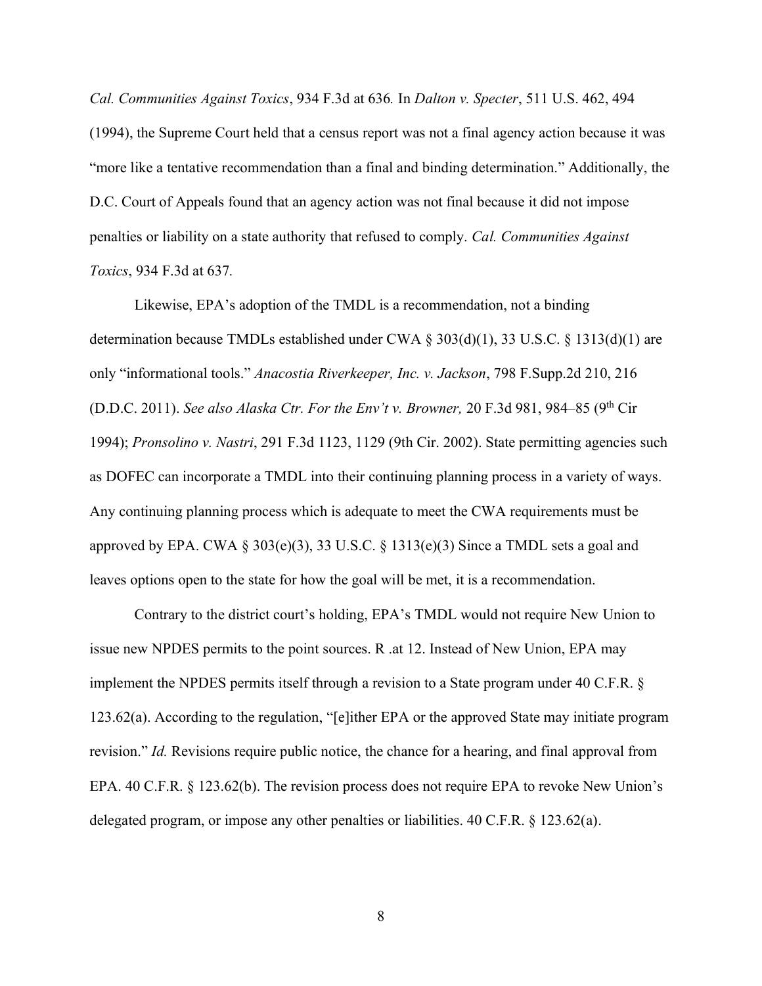*Cal. Communities Against Toxics*, 934 F.3d at 636*.* In *Dalton v. Specter*, 511 U.S. 462, 494 (1994), the Supreme Court held that a census report was not a final agency action because it was "more like a tentative recommendation than a final and binding determination." Additionally, the D.C. Court of Appeals found that an agency action was not final because it did not impose penalties or liability on a state authority that refused to comply. *Cal. Communities Against Toxics*, 934 F.3d at 637*.* 

Likewise, EPA's adoption of the TMDL is a recommendation, not a binding determination because TMDLs established under CWA § 303(d)(1), 33 U.S.C. § 1313(d)(1) are only "informational tools." *Anacostia Riverkeeper, Inc. v. Jackson*, 798 F.Supp.2d 210, 216 (D.D.C. 2011). *See also Alaska Ctr. For the Env't v. Browner*, 20 F.3d 981, 984-85 (9<sup>th</sup> Cir 1994); *Pronsolino v. Nastri*, 291 F.3d 1123, 1129 (9th Cir. 2002). State permitting agencies such as DOFEC can incorporate a TMDL into their continuing planning process in a variety of ways. Any continuing planning process which is adequate to meet the CWA requirements must be approved by EPA. CWA  $\S 303(e)(3)$ , 33 U.S.C.  $\S 1313(e)(3)$  Since a TMDL sets a goal and leaves options open to the state for how the goal will be met, it is a recommendation.

Contrary to the district court's holding, EPA's TMDL would not require New Union to issue new NPDES permits to the point sources. R .at 12. Instead of New Union, EPA may implement the NPDES permits itself through a revision to a State program under 40 C.F.R. § 123.62(a). According to the regulation, "[e]ither EPA or the approved State may initiate program revision." *Id.* Revisions require public notice, the chance for a hearing, and final approval from EPA. 40 C.F.R. § 123.62(b). The revision process does not require EPA to revoke New Union's delegated program, or impose any other penalties or liabilities. 40 C.F.R. § 123.62(a).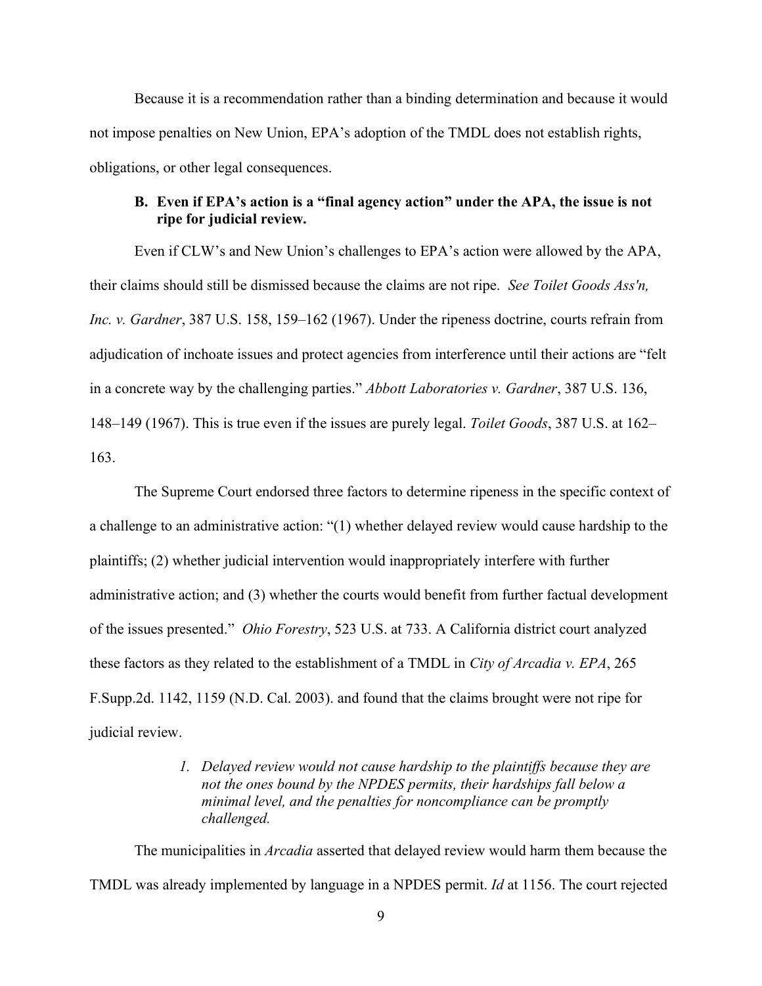Because it is a recommendation rather than a binding determination and because it would not impose penalties on New Union, EPA's adoption of the TMDL does not establish rights, obligations, or other legal consequences.

## <span id="page-16-0"></span>**B.** Even if EPA's action is a "final agency action" under the APA, the issue is not **ripe for judicial review.**

Even if CLW's and New Union's challenges to EPA's action were allowed by the APA, their claims should still be dismissed because the claims are not ripe. *See Toilet Goods Ass'n, Inc. v. Gardner*, 387 U.S. 158, 159–162 (1967). Under the ripeness doctrine, courts refrain from adjudication of inchoate issues and protect agencies from interference until their actions are "felt in a concrete way by the challenging parties." *Abbott Laboratories v. Gardner*, 387 U.S. 136, 148-149 (1967). This is true even if the issues are purely legal. *Toilet Goods*, 387 U.S. at 162-163.

The Supreme Court endorsed three factors to determine ripeness in the specific context of a challenge to an administrative action: "(1) whether delayed review would cause hardship to the plaintiffs; (2) whether judicial intervention would inappropriately interfere with further administrative action; and (3) whether the courts would benefit from further factual development of the issues presented." *Ohio Forestry*, 523 U.S. at 733. A California district court analyzed these factors as they related to the establishment of a TMDL in *City of Arcadia v. EPA*, 265 F.Supp.2d. 1142, 1159 (N.D. Cal. 2003). and found that the claims brought were not ripe for judicial review.

## *1. Delayed review would not cause hardship to the plaintiffs because they are not the ones bound by the NPDES permits, their hardships fall below a minimal level, and the penalties for noncompliance can be promptly challenged.*

<span id="page-16-1"></span>The municipalities in *Arcadia* asserted that delayed review would harm them because the TMDL was already implemented by language in a NPDES permit. *Id* at 1156. The court rejected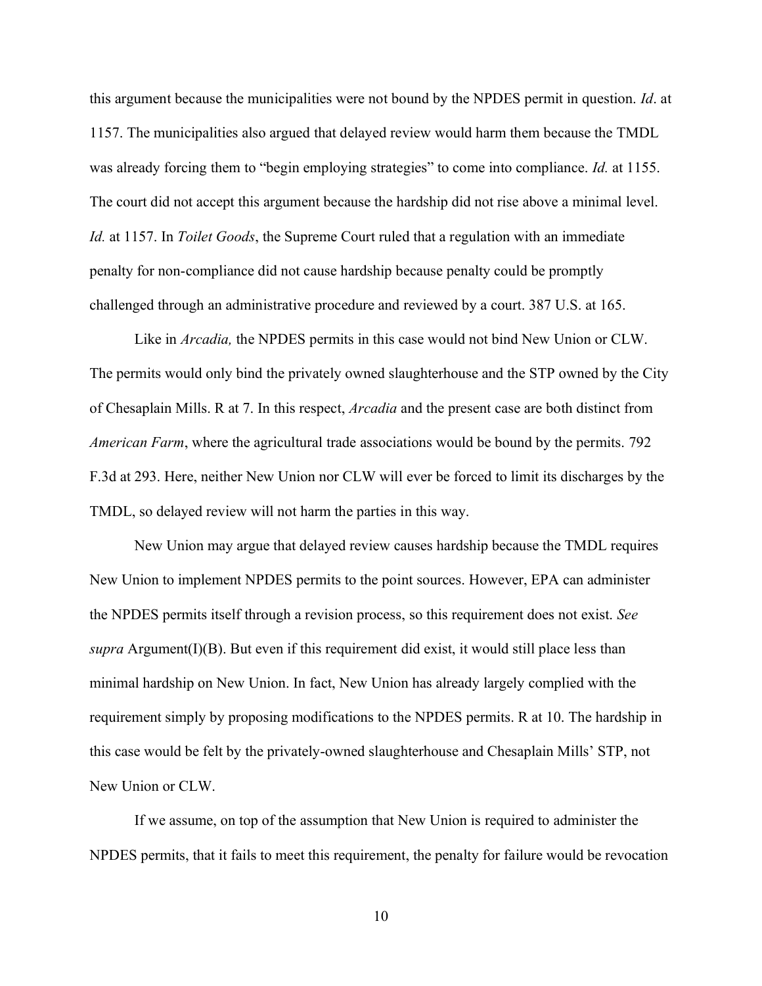this argument because the municipalities were not bound by the NPDES permit in question. *Id*. at 1157. The municipalities also argued that delayed review would harm them because the TMDL was already forcing them to "begin employing strategies" to come into compliance. *Id.* at 1155. The court did not accept this argument because the hardship did not rise above a minimal level. *Id.* at 1157. In *Toilet Goods*, the Supreme Court ruled that a regulation with an immediate penalty for non-compliance did not cause hardship because penalty could be promptly challenged through an administrative procedure and reviewed by a court. 387 U.S. at 165.

Like in *Arcadia*, the NPDES permits in this case would not bind New Union or CLW. The permits would only bind the privately owned slaughterhouse and the STP owned by the City of Chesaplain Mills. R at 7. In this respect, *Arcadia* and the present case are both distinct from *American Farm*, where the agricultural trade associations would be bound by the permits. 792 F.3d at 293. Here, neither New Union nor CLW will ever be forced to limit its discharges by the TMDL, so delayed review will not harm the parties in this way.

New Union may argue that delayed review causes hardship because the TMDL requires New Union to implement NPDES permits to the point sources. However, EPA can administer the NPDES permits itself through a revision process, so this requirement does not exist. *See supra* Argument(I)(B). But even if this requirement did exist, it would still place less than minimal hardship on New Union. In fact, New Union has already largely complied with the requirement simply by proposing modifications to the NPDES permits. R at 10. The hardship in this case would be felt by the privately-owned slaughterhouse and Chesaplain Mills' STP, not New Union or CLW.

If we assume, on top of the assumption that New Union is required to administer the NPDES permits, that it fails to meet this requirement, the penalty for failure would be revocation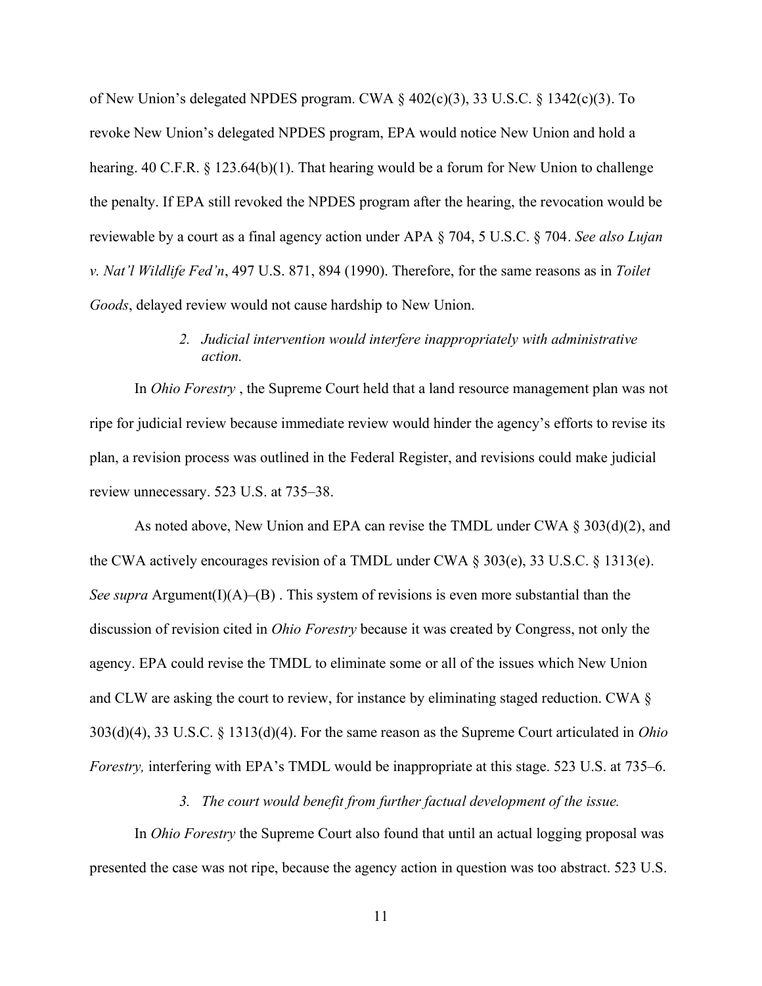of New Union's delegated NPDES program. CWA  $\S$  402(c)(3), 33 U.S.C.  $\S$  1342(c)(3). To revoke New Union's delegated NPDES program, EPA would notice New Union and hold a hearing. 40 C.F.R. § 123.64(b)(1). That hearing would be a forum for New Union to challenge the penalty. If EPA still revoked the NPDES program after the hearing, the revocation would be reviewable by a court as a final agency action under APA § 704, 5 U.S.C. § 704. *See also Lujan v. Nat'l Wildlife Fed'n,* 497 U.S. 871, 894 (1990). Therefore, for the same reasons as in *Toilet Goods*, delayed review would not cause hardship to New Union.

## *2. Judicial intervention would interfere inappropriately with administrative action.*

<span id="page-18-0"></span>In *Ohio Forestry* , the Supreme Court held that a land resource management plan was not ripe for judicial review because immediate review would hinder the agency's efforts to revise its plan, a revision process was outlined in the Federal Register, and revisions could make judicial review unnecessary. 523 U.S. at 735–38.

As noted above, New Union and EPA can revise the TMDL under CWA § 303(d)(2), and the CWA actively encourages revision of a TMDL under CWA § 303(e), 33 U.S.C. § 1313(e). *See supra* Argument(I)(A)–(B). This system of revisions is even more substantial than the discussion of revision cited in *Ohio Forestry* because it was created by Congress, not only the agency. EPA could revise the TMDL to eliminate some or all of the issues which New Union and CLW are asking the court to review, for instance by eliminating staged reduction. CWA § 303(d)(4), 33 U.S.C. § 1313(d)(4). For the same reason as the Supreme Court articulated in *Ohio Forestry,* interfering with EPA's TMDL would be inappropriate at this stage. 523 U.S. at 735–6.

*3. The court would benefit from further factual development of the issue.*

<span id="page-18-1"></span>In *Ohio Forestry* the Supreme Court also found that until an actual logging proposal was presented the case was not ripe, because the agency action in question was too abstract. 523 U.S.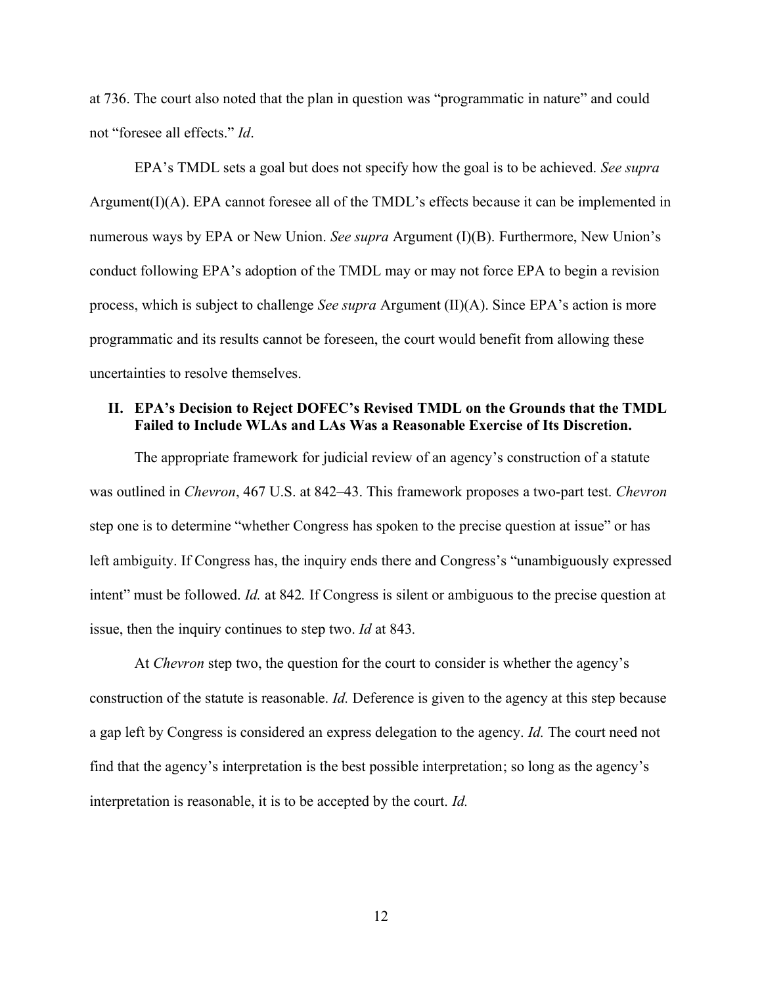at 736. The court also noted that the plan in question was "programmatic in nature" and could not "foresee all effects." *Id.* 

EPA's TMDL sets a goal but does not specify how the goal is to be achieved. See supra Argument(I)(A). EPA cannot foresee all of the TMDL's effects because it can be implemented in numerous ways by EPA or New Union. *See supra* Argument (I)(B). Furthermore, New Union's conduct following EPA's adoption of the TMDL may or may not force EPA to begin a revision process, which is subject to challenge *See supra* Argument (II)(A). Since EPA's action is more programmatic and its results cannot be foreseen, the court would benefit from allowing these uncertainties to resolve themselves.

### <span id="page-19-0"></span>**II. EPA's Decision to Reject DOFEC's Revised TMDL on the Grounds that the TMDL Failed to Include WLAs and LAs Was a Reasonable Exercise of Its Discretion.**

The appropriate framework for judicial review of an agency's construction of a statute was outlined in *Chevron*, 467 U.S. at 842–43. This framework proposes a two-part test. *Chevron* step one is to determine "whether Congress has spoken to the precise question at issue" or has left ambiguity. If Congress has, the inquiry ends there and Congress's "unambiguously expressed intent" must be followed. *Id.* at 842. If Congress is silent or ambiguous to the precise question at issue, then the inquiry continues to step two. *Id* at 843*.* 

At *Chevron* step two, the question for the court to consider is whether the agency's construction of the statute is reasonable. *Id.* Deference is given to the agency at this step because a gap left by Congress is considered an express delegation to the agency. *Id.* The court need not find that the agency's interpretation is the best possible interpretation; so long as the agency's interpretation is reasonable, it is to be accepted by the court. *Id.*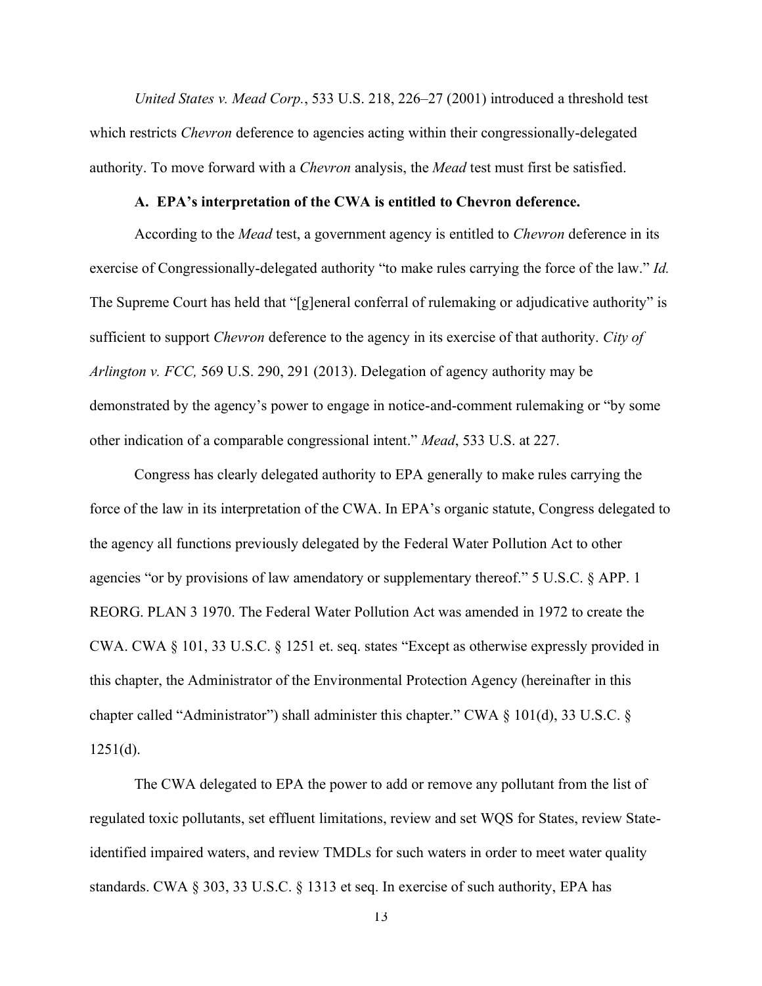*United States v. Mead Corp.*, 533 U.S. 218, 226–27 (2001) introduced a threshold test which restricts *Chevron* deference to agencies acting within their congressionally-delegated authority. To move forward with a *Chevron* analysis, the *Mead* test must first be satisfied.

#### A. **EPA**'s interpretation of the CWA is entitled to Chevron deference.

<span id="page-20-0"></span>According to the *Mead* test, a government agency is entitled to *Chevron* deference in its exercise of Congressionally-delegated authority "to make rules carrying the force of the law." *Id.* The Supreme Court has held that "[g]eneral conferral of rulemaking or adjudicative authority" is sufficient to support *Chevron* deference to the agency in its exercise of that authority. *City of Arlington v. FCC,* 569 U.S. 290, 291 (2013). Delegation of agency authority may be demonstrated by the agency's power to engage in notice-and-comment rulemaking or "by some other indication of a comparable congressional intent." *Mead*, 533 U.S. at 227.

Congress has clearly delegated authority to EPA generally to make rules carrying the force of the law in its interpretation of the CWA. In EPA's organic statute, Congress delegated to the agency all functions previously delegated by the Federal Water Pollution Act to other agencies "or by provisions of law amendatory or supplementary thereof."  $5 \text{ U.S.C. }$  § APP. 1 REORG. PLAN 3 1970. The Federal Water Pollution Act was amended in 1972 to create the CWA. CWA  $\S$  101, 33 U.S.C.  $\S$  1251 et. seq. states "Except as otherwise expressly provided in this chapter, the Administrator of the Environmental Protection Agency (hereinafter in this chapter called "Administrator") shall administer this chapter." CWA  $\S$  101(d), 33 U.S.C.  $\S$  $1251(d)$ .

The CWA delegated to EPA the power to add or remove any pollutant from the list of regulated toxic pollutants, set effluent limitations, review and set WQS for States, review Stateidentified impaired waters, and review TMDLs for such waters in order to meet water quality standards. CWA § 303, 33 U.S.C. § 1313 et seq. In exercise of such authority, EPA has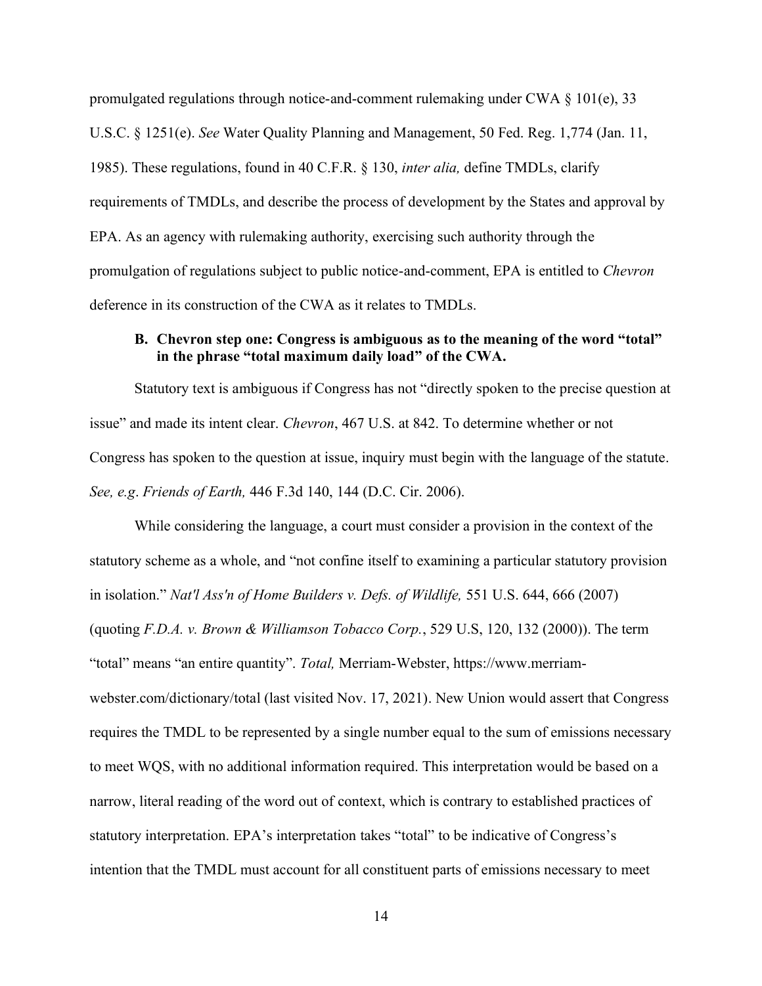promulgated regulations through notice-and-comment rulemaking under CWA § 101(e), 33 U.S.C. § 1251(e). *See* Water Quality Planning and Management, 50 Fed. Reg. 1,774 (Jan. 11, 1985). These regulations, found in 40 C.F.R. § 130, *inter alia,* define TMDLs, clarify requirements of TMDLs, and describe the process of development by the States and approval by EPA. As an agency with rulemaking authority, exercising such authority through the promulgation of regulations subject to public notice-and-comment, EPA is entitled to *Chevron*  deference in its construction of the CWA as it relates to TMDLs.

### <span id="page-21-0"></span>**B.** Chevron step one: Congress is ambiguous as to the meaning of the word "total" in the phrase "total maximum daily load" of the CWA.

Statutory text is ambiguous if Congress has not "directly spoken to the precise question at issue" and made its intent clear. *Chevron*, 467 U.S. at 842. To determine whether or not Congress has spoken to the question at issue, inquiry must begin with the language of the statute. *See, e.g*. *Friends of Earth,* 446 F.3d 140, 144 (D.C. Cir. 2006).

While considering the language, a court must consider a provision in the context of the statutory scheme as a whole, and "not confine itself to examining a particular statutory provision in isolation." Nat'l Ass'n of Home Builders v. Defs. of Wildlife, 551 U.S. 644, 666 (2007) (quoting *F.D.A. v. Brown & Williamson Tobacco Corp.*, 529 U.S, 120, 132 (2000)). The term "total" means "an entire quantity". Total, Merriam-Webster, https://www.merriamwebster.com/dictionary/total (last visited Nov. 17, 2021). New Union would assert that Congress requires the TMDL to be represented by a single number equal to the sum of emissions necessary to meet WQS, with no additional information required. This interpretation would be based on a narrow, literal reading of the word out of context, which is contrary to established practices of statutory interpretation. EPA's interpretation takes "total" to be indicative of Congress's intention that the TMDL must account for all constituent parts of emissions necessary to meet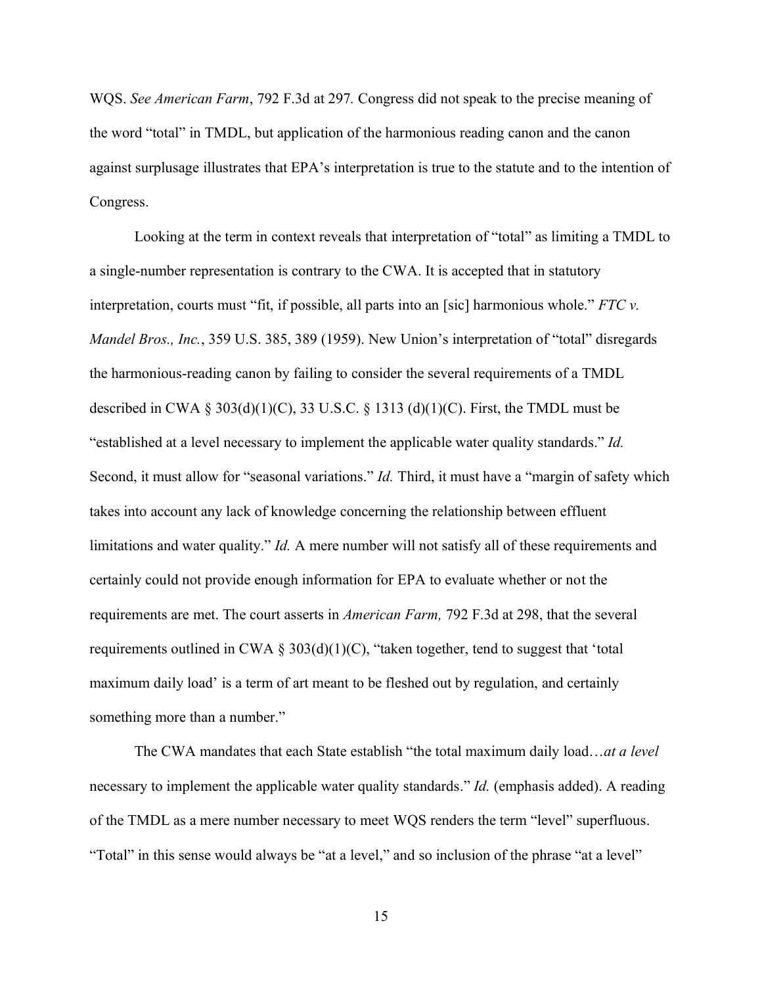WQS. *See American Farm*, 792 F.3d at 297*.* Congress did not speak to the precise meaning of the word "total" in TMDL, but application of the harmonious reading canon and the canon against surplusage illustrates that EPA's interpretation is true to the statute and to the intention of Congress.

Looking at the term in context reveals that interpretation of "total" as limiting a TMDL to a single-number representation is contrary to the CWA. It is accepted that in statutory interpretation, courts must "fit, if possible, all parts into an [sic] harmonious whole."  $FTC$  v. *Mandel Bros., Inc.*, 359 U.S. 385, 389 (1959). New Union's interpretation of "total" disregards the harmonious-reading canon by failing to consider the several requirements of a TMDL described in CWA § 303(d)(1)(C), 33 U.S.C. § 1313 (d)(1)(C). First, the TMDL must be "established at a level necessary to implement the applicable water quality standards." *Id.* Second, it must allow for "seasonal variations." *Id.* Third, it must have a "margin of safety which takes into account any lack of knowledge concerning the relationship between effluent limitations and water quality." *Id.* A mere number will not satisfy all of these requirements and certainly could not provide enough information for EPA to evaluate whether or not the requirements are met. The court asserts in *American Farm,* 792 F.3d at 298, that the several requirements outlined in CWA § 303(d)(1)(C), "taken together, tend to suggest that 'total maximum daily load' is a term of art meant to be fleshed out by regulation, and certainly something more than a number."

The CWA mandates that each State establish "the total maximum daily load...at a level necessary to implement the applicable water quality standards.´*Id.* (emphasis added). A reading of the TMDL as a mere number necessary to meet WQS renders the term "level" superfluous. "Total" in this sense would always be "at a level," and so inclusion of the phrase "at a level"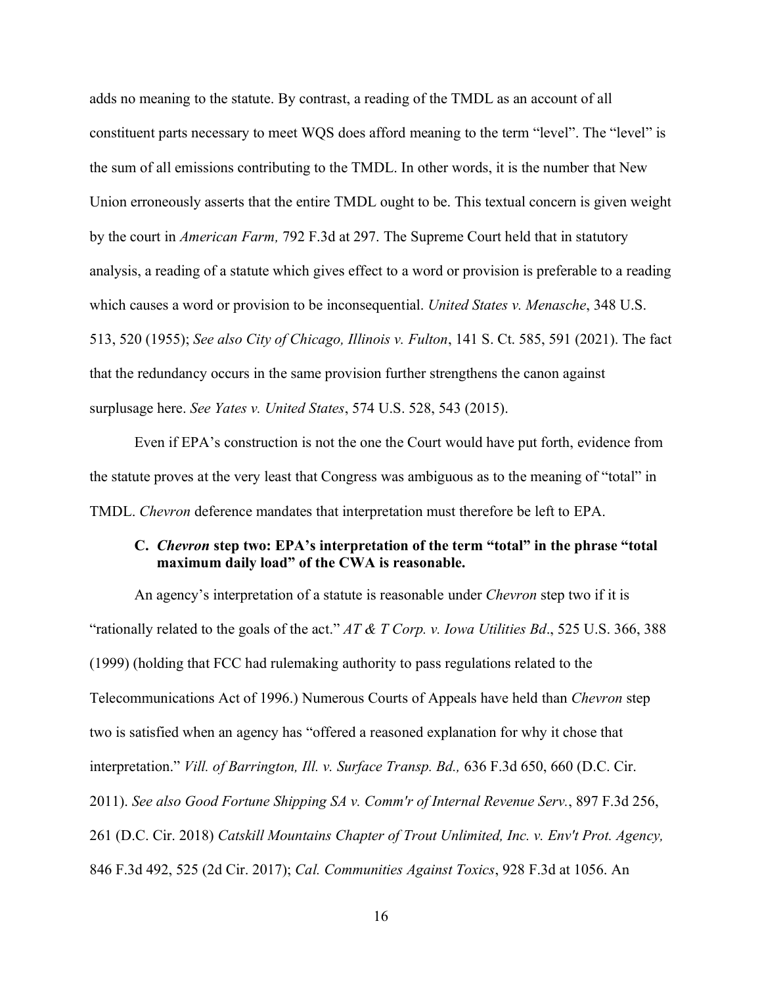adds no meaning to the statute. By contrast, a reading of the TMDL as an account of all constituent parts necessary to meet WQS does afford meaning to the term "level". The "level" is the sum of all emissions contributing to the TMDL. In other words, it is the number that New Union erroneously asserts that the entire TMDL ought to be. This textual concern is given weight by the court in *American Farm,* 792 F.3d at 297. The Supreme Court held that in statutory analysis, a reading of a statute which gives effect to a word or provision is preferable to a reading which causes a word or provision to be inconsequential. *United States v. Menasche*, 348 U.S. 513, 520 (1955); *See also City of Chicago, Illinois v. Fulton*, 141 S. Ct. 585, 591 (2021). The fact that the redundancy occurs in the same provision further strengthens the canon against surplusage here. *See Yates v. United States*, 574 U.S. 528, 543 (2015).

Even if EPA's construction is not the one the Court would have put forth, evidence from the statute proves at the very least that Congress was ambiguous as to the meaning of "total" in TMDL. *Chevron* deference mandates that interpretation must therefore be left to EPA.

### <span id="page-23-0"></span>**C.** *Chevron* step two: EPA's interpretation of the term "total" in the phrase "total maximum daily load" of the CWA is reasonable.

An agency's interpretation of a statute is reasonable under *Chevron* step two if it is "rationally related to the goals of the act."  $AT \& T$  Corp. v. Iowa Utilities Bd., 525 U.S. 366, 388 (1999) (holding that FCC had rulemaking authority to pass regulations related to the Telecommunications Act of 1996.) Numerous Courts of Appeals have held than *Chevron* step two is satisfied when an agency has "offered a reasoned explanation for why it chose that interpretation." *Vill. of Barrington, Ill. v. Surface Transp. Bd.,* 636 F.3d 650, 660 (D.C. Cir. 2011). *See also Good Fortune Shipping SA v. Comm'r of Internal Revenue Serv.*, 897 F.3d 256, 261 (D.C. Cir. 2018) *Catskill Mountains Chapter of Trout Unlimited, Inc. v. Env't Prot. Agency,*  846 F.3d 492, 525 (2d Cir. 2017); *Cal. Communities Against Toxics*, 928 F.3d at 1056. An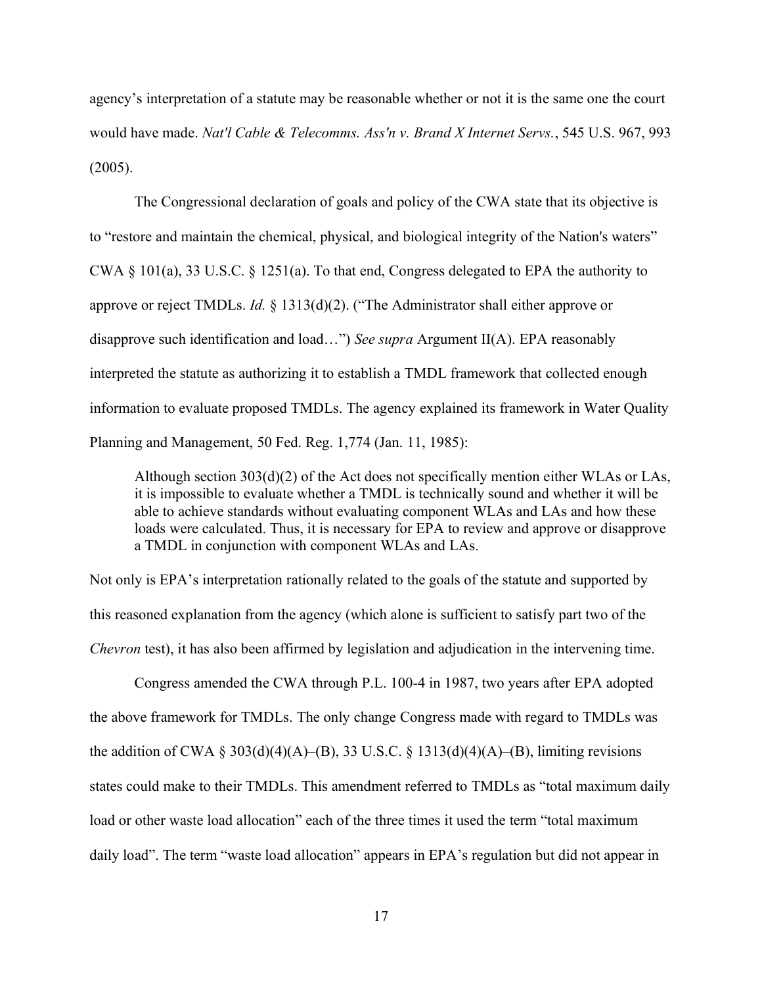agency's interpretation of a statute may be reasonable whether or not it is the same one the court would have made. *Nat'l Cable & Telecomms. Ass'n v. Brand X Internet Servs.*, 545 U.S. 967, 993 (2005).

The Congressional declaration of goals and policy of the CWA state that its objective is to "restore and maintain the chemical, physical, and biological integrity of the Nation's waters" CWA § 101(a), 33 U.S.C. § 1251(a). To that end, Congress delegated to EPA the authority to approve or reject TMDLs. *Id.* § 1313(d)(2). ("The Administrator shall either approve or disapprove such identification and load...") See *supra* Argument II(A). EPA reasonably interpreted the statute as authorizing it to establish a TMDL framework that collected enough information to evaluate proposed TMDLs. The agency explained its framework in Water Quality Planning and Management, 50 Fed. Reg. 1,774 (Jan. 11, 1985):

Although section 303(d)(2) of the Act does not specifically mention either WLAs or LAs, it is impossible to evaluate whether a TMDL is technically sound and whether it will be able to achieve standards without evaluating component WLAs and LAs and how these loads were calculated. Thus, it is necessary for EPA to review and approve or disapprove a TMDL in conjunction with component WLAs and LAs.

Not only is EPA's interpretation rationally related to the goals of the statute and supported by this reasoned explanation from the agency (which alone is sufficient to satisfy part two of the *Chevron* test), it has also been affirmed by legislation and adjudication in the intervening time.

Congress amended the CWA through P.L. 100-4 in 1987, two years after EPA adopted the above framework for TMDLs. The only change Congress made with regard to TMDLs was the addition of CWA § 303(d)(4)(A)–(B), 33 U.S.C. § 1313(d)(4)(A)–(B), limiting revisions states could make to their TMDLs. This amendment referred to TMDLs as "total maximum daily load or other waste load allocation" each of the three times it used the term "total maximum daily load". The term "waste load allocation" appears in EPA's regulation but did not appear in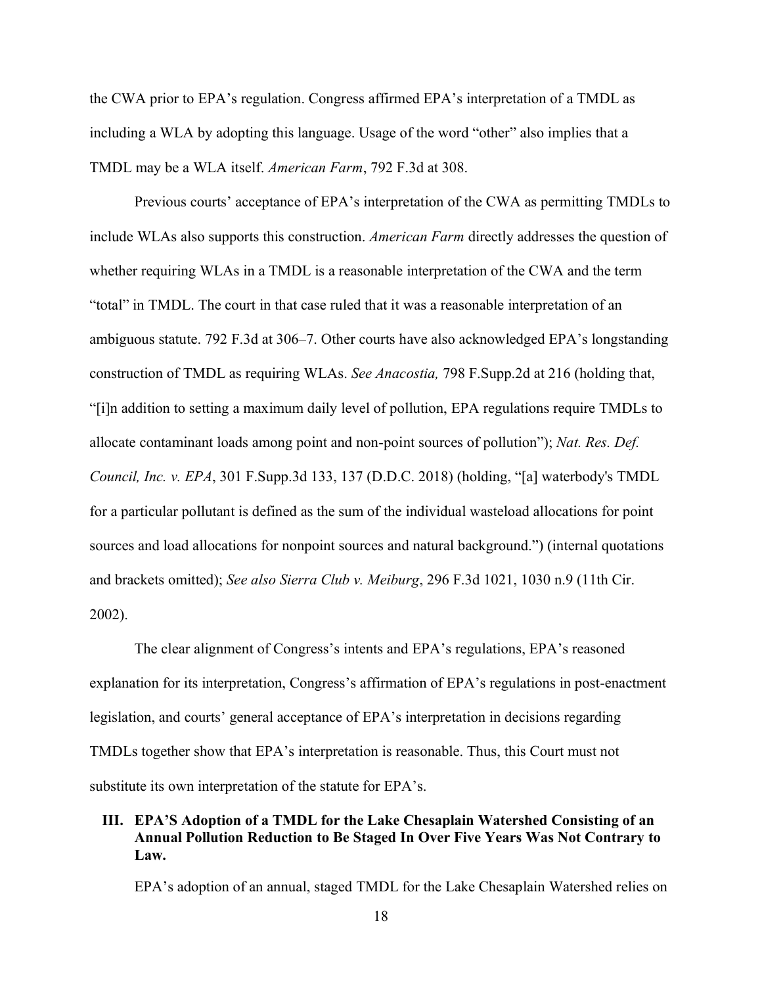the CWA prior to EPA's regulation. Congress affirmed EPA's interpretation of a TMDL as including a WLA by adopting this language. Usage of the word "other" also implies that a TMDL may be a WLA itself. *American Farm*, 792 F.3d at 308.

Previous courts' acceptance of EPA's interpretation of the CWA as permitting TMDLs to include WLAs also supports this construction. *American Farm* directly addresses the question of whether requiring WLAs in a TMDL is a reasonable interpretation of the CWA and the term "total" in TMDL. The court in that case ruled that it was a reasonable interpretation of an ambiguous statute. 792 F.3d at 306–7. Other courts have also acknowledged EPA's longstanding construction of TMDL as requiring WLAs. *See Anacostia,* 798 F.Supp.2d at 216 (holding that, ³[i]n addition to setting a maximum daily level of pollution, EPA regulations require TMDLs to allocate contaminant loads among point and non-point sources of pollution"); *Nat. Res. Def. Council, Inc. v. EPA*, 301 F.Supp.3d 133, 137 (D.D.C. 2018) (holding, "[a] waterbody's TMDL for a particular pollutant is defined as the sum of the individual wasteload allocations for point sources and load allocations for nonpoint sources and natural background.") (internal quotations and brackets omitted); *See also Sierra Club v. Meiburg*, 296 F.3d 1021, 1030 n.9 (11th Cir. 2002).

The clear alignment of Congress's intents and EPA's regulations, EPA's reasoned explanation for its interpretation, Congress's affirmation of EPA's regulations in post-enactment legislation, and courts' general acceptance of EPA's interpretation in decisions regarding TMDLs together show that EPA's interpretation is reasonable. Thus, this Court must not substitute its own interpretation of the statute for EPA's.

## <span id="page-25-0"></span>**III. EPA'S Adoption of a TMDL for the Lake Chesaplain Watershed Consisting of an Annual Pollution Reduction to Be Staged In Over Five Years Was Not Contrary to Law.**

EPA's adoption of an annual, staged TMDL for the Lake Chesaplain Watershed relies on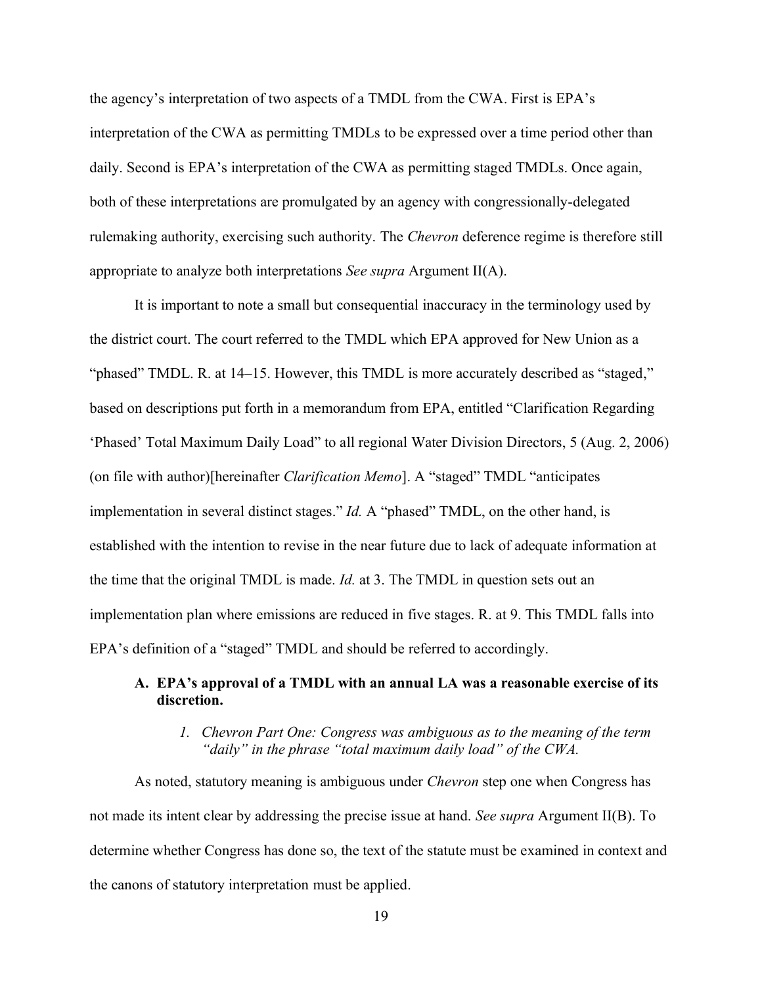the agency's interpretation of two aspects of a TMDL from the CWA. First is EPA's interpretation of the CWA as permitting TMDLs to be expressed over a time period other than daily. Second is EPA's interpretation of the CWA as permitting staged TMDLs. Once again, both of these interpretations are promulgated by an agency with congressionally-delegated rulemaking authority, exercising such authority. The *Chevron* deference regime is therefore still appropriate to analyze both interpretations *See supra* Argument II(A).

It is important to note a small but consequential inaccuracy in the terminology used by the district court. The court referred to the TMDL which EPA approved for New Union as a "phased" TMDL. R. at 14–15. However, this TMDL is more accurately described as "staged," based on descriptions put forth in a memorandum from EPA, entitled "Clarification Regarding 'Phased' Total Maximum Daily Load" to all regional Water Division Directors, 5 (Aug. 2, 2006) (on file with author)[hereinafter *Clarification Memo*]. A "staged" TMDL "anticipates implementation in several distinct stages." *Id.* A "phased" TMDL, on the other hand, is established with the intention to revise in the near future due to lack of adequate information at the time that the original TMDL is made. *Id.* at 3. The TMDL in question sets out an implementation plan where emissions are reduced in five stages. R. at 9. This TMDL falls into EPA's definition of a "staged" TMDL and should be referred to accordingly.

## <span id="page-26-0"></span>A. **EPA's approval of a TMDL with an annual LA** was a reasonable exercise of its **discretion.**

### *1. Chevron Part One: Congress was ambiguous as to the meaning of the term*  "*daily*" in the phrase "total maximum daily load" of the CWA.

<span id="page-26-1"></span>As noted, statutory meaning is ambiguous under *Chevron* step one when Congress has not made its intent clear by addressing the precise issue at hand. *See supra* Argument II(B). To determine whether Congress has done so, the text of the statute must be examined in context and the canons of statutory interpretation must be applied.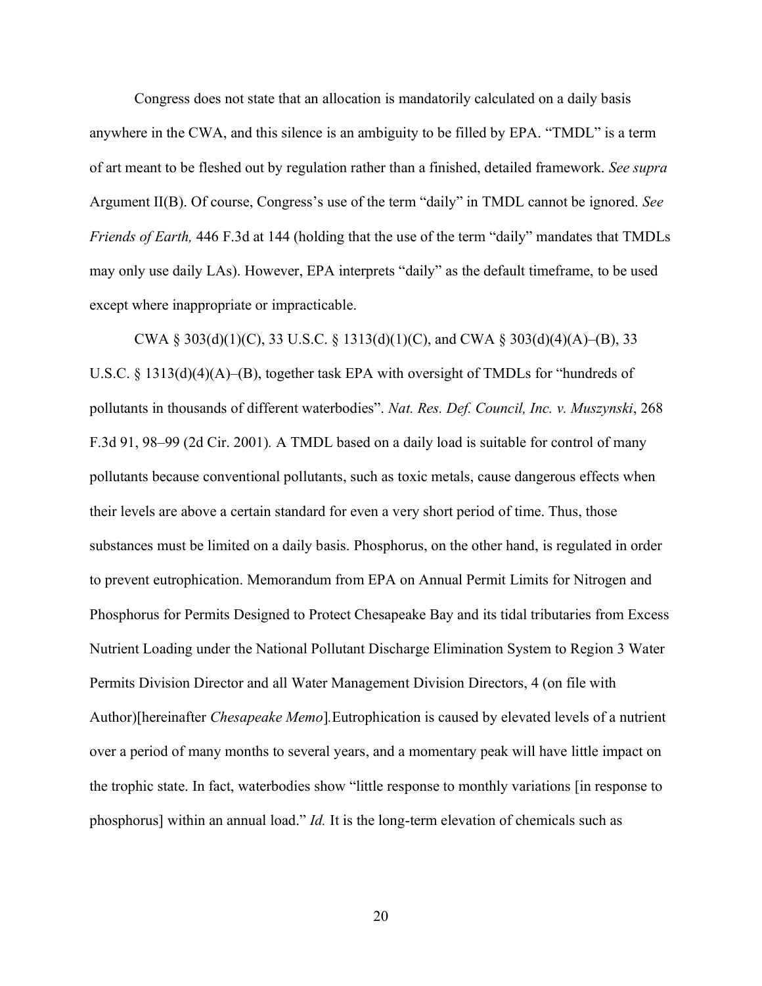Congress does not state that an allocation is mandatorily calculated on a daily basis anywhere in the CWA, and this silence is an ambiguity to be filled by  $EPA$ . "TMDL" is a term of art meant to be fleshed out by regulation rather than a finished, detailed framework. *See supra*  Argument II(B). Of course, Congress's use of the term "daily" in TMDL cannot be ignored. See *Friends of Earth,* 446 F.3d at 144 (holding that the use of the term "daily" mandates that TMDLs may only use daily LAs). However, EPA interprets "daily" as the default timeframe, to be used except where inappropriate or impracticable.

CWA § 303(d)(1)(C), 33 U.S.C. § 1313(d)(1)(C), and CWA § 303(d)(4)(A)–(B), 33 U.S.C. § 1313(d)(4)(A)–(B), together task EPA with oversight of TMDLs for "hundreds of pollutants in thousands of different waterbodies". Nat. Res. Def. Council, Inc. v. Muszynski, 268 F.3d 91, 98–99 (2d Cir. 2001). A TMDL based on a daily load is suitable for control of many pollutants because conventional pollutants, such as toxic metals, cause dangerous effects when their levels are above a certain standard for even a very short period of time. Thus, those substances must be limited on a daily basis. Phosphorus, on the other hand, is regulated in order to prevent eutrophication. Memorandum from EPA on Annual Permit Limits for Nitrogen and Phosphorus for Permits Designed to Protect Chesapeake Bay and its tidal tributaries from Excess Nutrient Loading under the National Pollutant Discharge Elimination System to Region 3 Water Permits Division Director and all Water Management Division Directors, 4 (on file with Author)[hereinafter *Chesapeake Memo*]*.*Eutrophication is caused by elevated levels of a nutrient over a period of many months to several years, and a momentary peak will have little impact on the trophic state. In fact, waterbodies show "little response to monthly variations [in response to phosphorus] within an annual load." *Id.* It is the long-term elevation of chemicals such as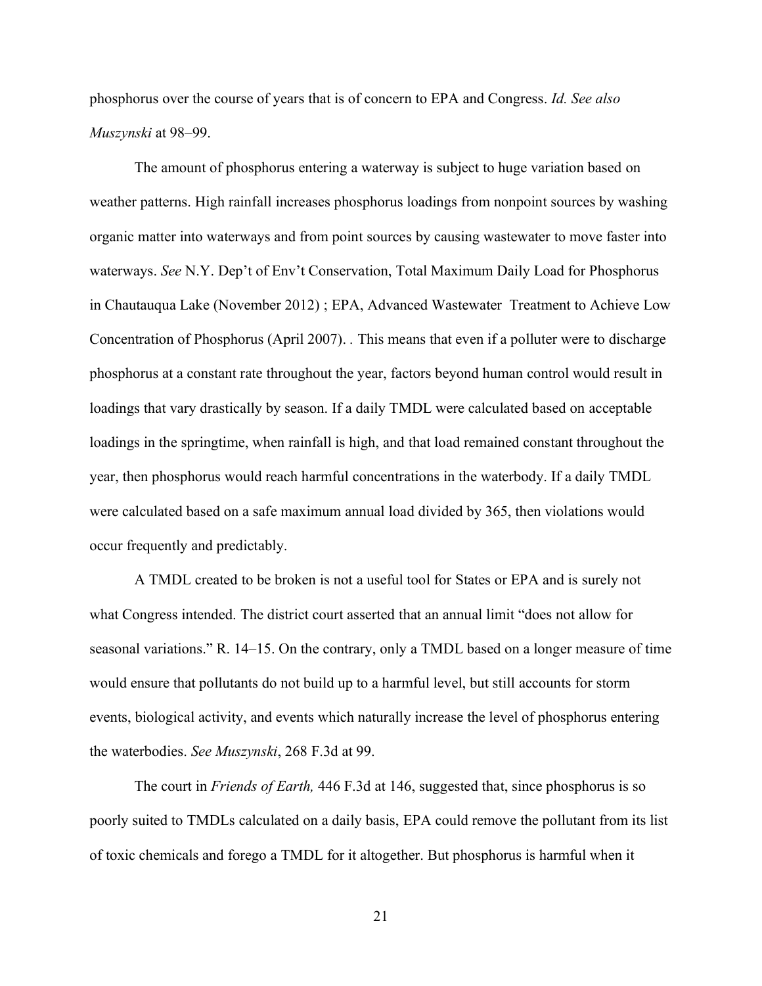phosphorus over the course of years that is of concern to EPA and Congress. *Id. See also Muszynski* at 98–99.

The amount of phosphorus entering a waterway is subject to huge variation based on weather patterns. High rainfall increases phosphorus loadings from nonpoint sources by washing organic matter into waterways and from point sources by causing wastewater to move faster into waterways. See N.Y. Dep't of Env't Conservation, Total Maximum Daily Load for Phosphorus in Chautauqua Lake (November 2012) ; EPA, Advanced Wastewater Treatment to Achieve Low Concentration of Phosphorus (April 2007). *.* This means that even if a polluter were to discharge phosphorus at a constant rate throughout the year, factors beyond human control would result in loadings that vary drastically by season. If a daily TMDL were calculated based on acceptable loadings in the springtime, when rainfall is high, and that load remained constant throughout the year, then phosphorus would reach harmful concentrations in the waterbody. If a daily TMDL were calculated based on a safe maximum annual load divided by 365, then violations would occur frequently and predictably.

A TMDL created to be broken is not a useful tool for States or EPA and is surely not what Congress intended. The district court asserted that an annual limit "does not allow for seasonal variations." R. 14–15. On the contrary, only a TMDL based on a longer measure of time would ensure that pollutants do not build up to a harmful level, but still accounts for storm events, biological activity, and events which naturally increase the level of phosphorus entering the waterbodies. *See Muszynski*, 268 F.3d at 99.

The court in *Friends of Earth,* 446 F.3d at 146, suggested that, since phosphorus is so poorly suited to TMDLs calculated on a daily basis, EPA could remove the pollutant from its list of toxic chemicals and forego a TMDL for it altogether. But phosphorus is harmful when it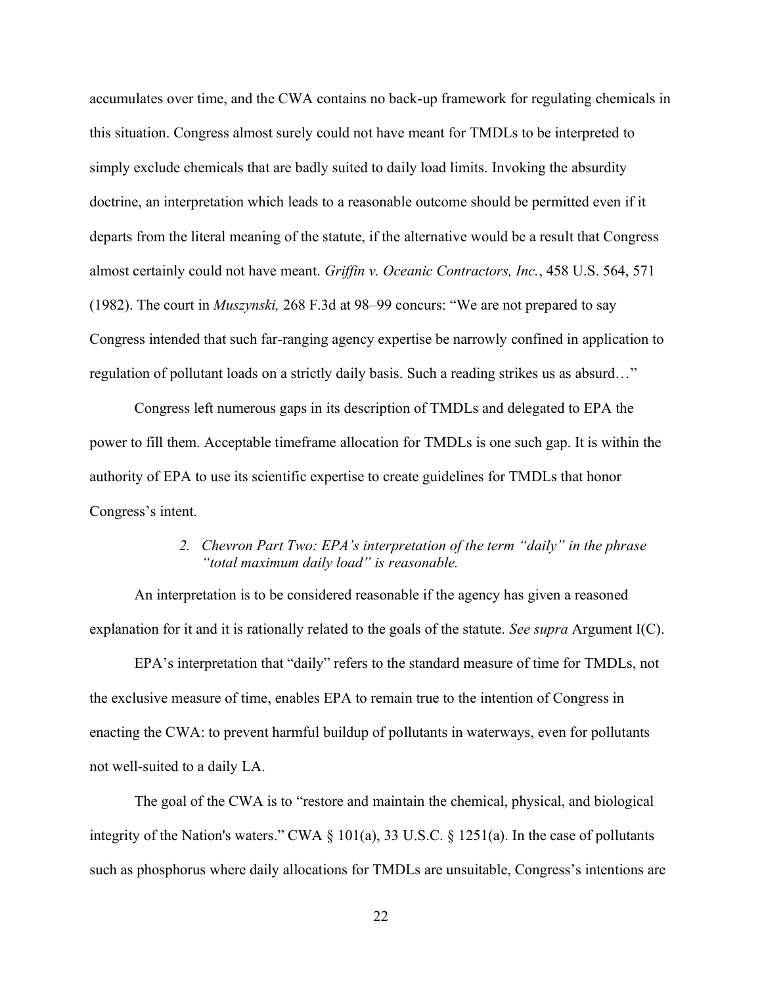accumulates over time, and the CWA contains no back-up framework for regulating chemicals in this situation. Congress almost surely could not have meant for TMDLs to be interpreted to simply exclude chemicals that are badly suited to daily load limits. Invoking the absurdity doctrine, an interpretation which leads to a reasonable outcome should be permitted even if it departs from the literal meaning of the statute, if the alternative would be a result that Congress almost certainly could not have meant. *Griffin v. Oceanic Contractors, Inc.*, 458 U.S. 564, 571 (1982). The court in *Muszynski*, 268 F.3d at 98–99 concurs: "We are not prepared to say Congress intended that such far-ranging agency expertise be narrowly confined in application to regulation of pollutant loads on a strictly daily basis. Such a reading strikes us as absurd..."

Congress left numerous gaps in its description of TMDLs and delegated to EPA the power to fill them. Acceptable timeframe allocation for TMDLs is one such gap. It is within the authority of EPA to use its scientific expertise to create guidelines for TMDLs that honor Congress's intent.

### *2. Chevron Part Two: EPA's interpretation of the term "daily" in the phrase* "*total maximum daily load*" is reasonable.

<span id="page-29-0"></span>An interpretation is to be considered reasonable if the agency has given a reasoned explanation for it and it is rationally related to the goals of the statute. *See supra* Argument I(C).

EPA's interpretation that "daily" refers to the standard measure of time for TMDLs, not the exclusive measure of time, enables EPA to remain true to the intention of Congress in enacting the CWA: to prevent harmful buildup of pollutants in waterways, even for pollutants not well-suited to a daily LA.

The goal of the CWA is to "restore and maintain the chemical, physical, and biological integrity of the Nation's waters." CWA  $\S$  101(a), 33 U.S.C.  $\S$  1251(a). In the case of pollutants such as phosphorus where daily allocations for TMDLs are unsuitable, Congress's intentions are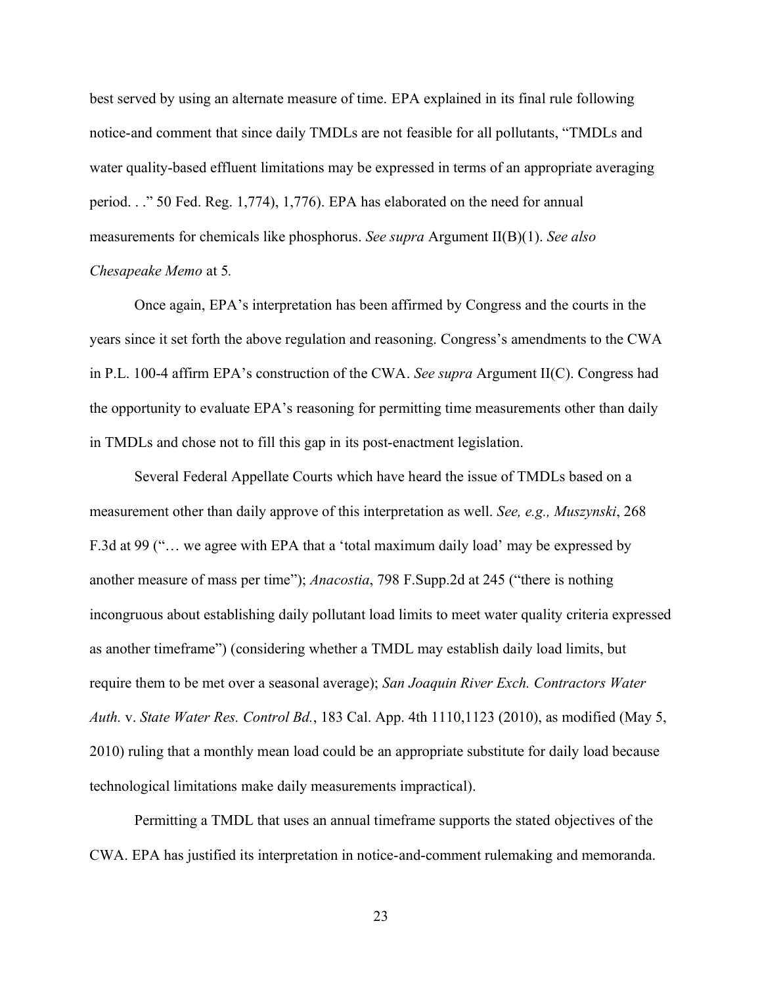best served by using an alternate measure of time. EPA explained in its final rule following notice-and comment that since daily TMDLs are not feasible for all pollutants, "TMDLs and water quality-based effluent limitations may be expressed in terms of an appropriate averaging period.  $\therefore$  50 Fed. Reg. 1,774), 1,776). EPA has elaborated on the need for annual measurements for chemicals like phosphorus. *See supra* Argument II(B)(1). *See also Chesapeake Memo* at 5*.*

Once again, EPA's interpretation has been affirmed by Congress and the courts in the years since it set forth the above regulation and reasoning. Congress's amendments to the CWA in P.L. 100-4 affirm EPA's construction of the CWA. See supra Argument II(C). Congress had the opportunity to evaluate EPA's reasoning for permitting time measurements other than daily in TMDLs and chose not to fill this gap in its post-enactment legislation.

Several Federal Appellate Courts which have heard the issue of TMDLs based on a measurement other than daily approve of this interpretation as well. *See, e.g., Muszynski*, 268 F.3d at 99 ("... we agree with EPA that a 'total maximum daily load' may be expressed by another measure of mass per time"); *Anacostia*, 798 F.Supp.2d at 245 ("there is nothing incongruous about establishing daily pollutant load limits to meet water quality criteria expressed as another timeframe") (considering whether a TMDL may establish daily load limits, but require them to be met over a seasonal average); *San Joaquin River Exch. Contractors Water Auth.* v. *State Water Res. Control Bd.*, 183 Cal. App. 4th 1110,1123 (2010), as modified (May 5, 2010) ruling that a monthly mean load could be an appropriate substitute for daily load because technological limitations make daily measurements impractical).

Permitting a TMDL that uses an annual timeframe supports the stated objectives of the CWA. EPA has justified its interpretation in notice-and-comment rulemaking and memoranda.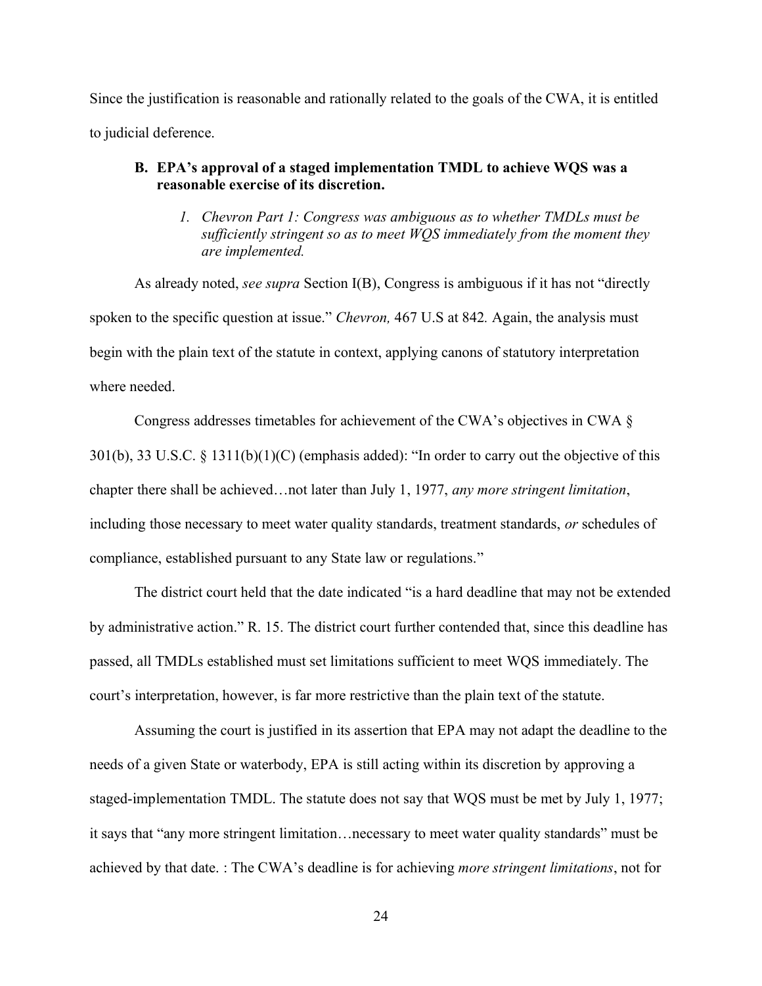Since the justification is reasonable and rationally related to the goals of the CWA, it is entitled to judicial deference.

### <span id="page-31-1"></span><span id="page-31-0"></span>**B. EPA's approval of a staged implementation <b>TMDL** to achieve WQS was a **reasonable exercise of its discretion.**

*1. Chevron Part 1: Congress was ambiguous as to whether TMDLs must be sufficiently stringent so as to meet WQS immediately from the moment they are implemented.* 

As already noted, *see supra* Section I(B), Congress is ambiguous if it has not "directly spoken to the specific question at issue." *Chevron*, 467 U.S at 842. Again, the analysis must begin with the plain text of the statute in context, applying canons of statutory interpretation where needed.

Congress addresses timetables for achievement of the CWA's objectives in CWA  $\S$ 301(b), 33 U.S.C. § 1311(b)(1)(C) (emphasis added): "In order to carry out the objective of this chapter there shall be achieved...not later than July 1, 1977, any more stringent limitation, including those necessary to meet water quality standards, treatment standards, *or* schedules of compliance, established pursuant to any State law or regulations.´

The district court held that the date indicated "is a hard deadline that may not be extended by administrative action." R. 15. The district court further contended that, since this deadline has passed, all TMDLs established must set limitations sufficient to meet WQS immediately. The court's interpretation, however, is far more restrictive than the plain text of the statute.

Assuming the court is justified in its assertion that EPA may not adapt the deadline to the needs of a given State or waterbody, EPA is still acting within its discretion by approving a staged-implementation TMDL. The statute does not say that WQS must be met by July 1, 1977; it says that "any more stringent limitation...necessary to meet water quality standards" must be achieved by that date. : The CWA's deadline is for achieving *more stringent limitations*, not for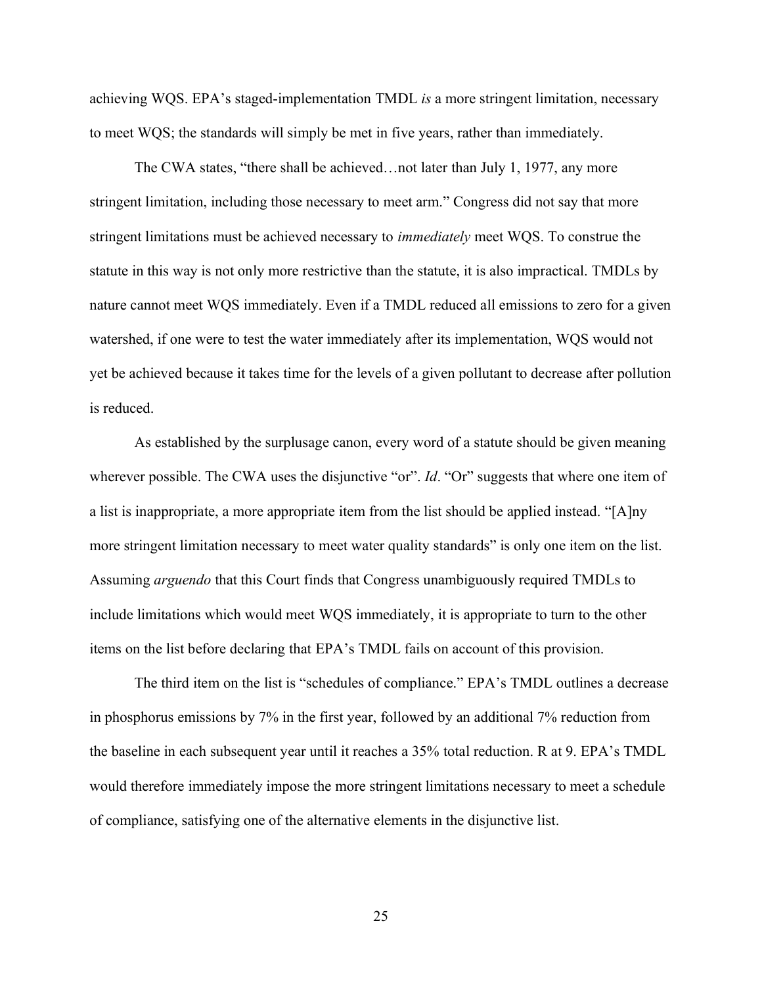achieving WQS. EPA's staged-implementation TMDL *is* a more stringent limitation, necessary to meet WQS; the standards will simply be met in five years, rather than immediately.

The CWA states, "there shall be achieved... not later than July 1, 1977, any more stringent limitation, including those necessary to meet arm." Congress did not say that more stringent limitations must be achieved necessary to *immediately* meet WQS. To construe the statute in this way is not only more restrictive than the statute, it is also impractical. TMDLs by nature cannot meet WQS immediately. Even if a TMDL reduced all emissions to zero for a given watershed, if one were to test the water immediately after its implementation, WQS would not yet be achieved because it takes time for the levels of a given pollutant to decrease after pollution is reduced.

As established by the surplusage canon, every word of a statute should be given meaning wherever possible. The CWA uses the disjunctive "or". *Id.* "Or" suggests that where one item of a list is inappropriate, a more appropriate item from the list should be applied instead. " $[A]$ ny more stringent limitation necessary to meet water quality standards" is only one item on the list. Assuming *arguendo* that this Court finds that Congress unambiguously required TMDLs to include limitations which would meet WQS immediately, it is appropriate to turn to the other items on the list before declaring that EPA's TMDL fails on account of this provision.

The third item on the list is "schedules of compliance." EPA's TMDL outlines a decrease in phosphorus emissions by 7% in the first year, followed by an additional 7% reduction from the baseline in each subsequent year until it reaches a  $35\%$  total reduction. R at 9. EPA's TMDL would therefore immediately impose the more stringent limitations necessary to meet a schedule of compliance, satisfying one of the alternative elements in the disjunctive list.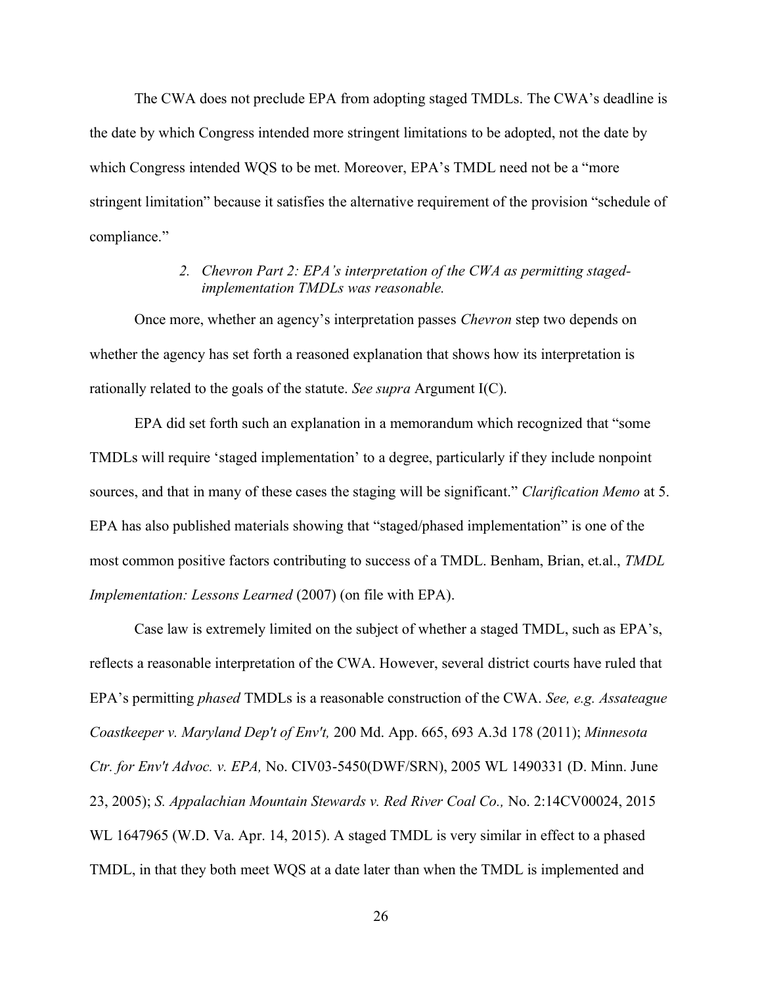The CWA does not preclude EPA from adopting staged TMDLs. The CWA's deadline is the date by which Congress intended more stringent limitations to be adopted, not the date by which Congress intended WQS to be met. Moreover, EPA's TMDL need not be a "more" stringent limitation" because it satisfies the alternative requirement of the provision "schedule of compliance."

## 2. *Chevron Part 2: EPA's interpretation of the CWA as permitting stagedimplementation TMDLs was reasonable.*

<span id="page-33-0"></span>Once more, whether an agency's interpretation passes *Chevron* step two depends on whether the agency has set forth a reasoned explanation that shows how its interpretation is rationally related to the goals of the statute. *See supra* Argument I(C).

EPA did set forth such an explanation in a memorandum which recognized that "some TMDLs will require 'staged implementation' to a degree, particularly if they include nonpoint sources, and that in many of these cases the staging will be significant." Clarification Memo at 5. EPA has also published materials showing that "staged/phased implementation" is one of the most common positive factors contributing to success of a TMDL. Benham, Brian, et.al., *TMDL Implementation: Lessons Learned* (2007) (on file with EPA).

Case law is extremely limited on the subject of whether a staged TMDL, such as EPA's, reflects a reasonable interpretation of the CWA. However, several district courts have ruled that EPA's permitting *phased* TMDLs is a reasonable construction of the CWA. *See, e.g. Assateague Coastkeeper v. Maryland Dep't of Env't,* 200 Md. App. 665, 693 A.3d 178 (2011); *Minnesota Ctr. for Env't Advoc. v. EPA,* No. CIV03-5450(DWF/SRN), 2005 WL 1490331 (D. Minn. June 23, 2005); *S. Appalachian Mountain Stewards v. Red River Coal Co.,* No. 2:14CV00024, 2015 WL 1647965 (W.D. Va. Apr. 14, 2015). A staged TMDL is very similar in effect to a phased TMDL, in that they both meet WQS at a date later than when the TMDL is implemented and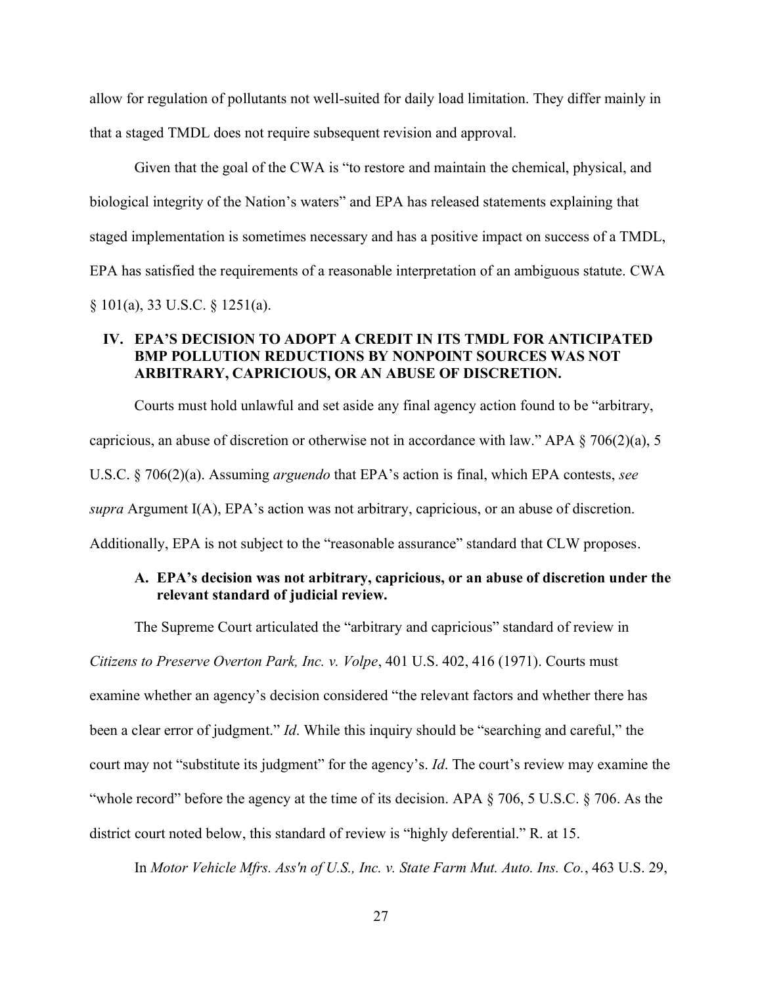allow for regulation of pollutants not well-suited for daily load limitation. They differ mainly in that a staged TMDL does not require subsequent revision and approval.

Given that the goal of the CWA is "to restore and maintain the chemical, physical, and biological integrity of the Nation's waters" and EPA has released statements explaining that staged implementation is sometimes necessary and has a positive impact on success of a TMDL, EPA has satisfied the requirements of a reasonable interpretation of an ambiguous statute. CWA § 101(a), 33 U.S.C. § 1251(a).

## <span id="page-34-0"></span>IV. EPA'S DECISION TO ADOPT A CREDIT IN ITS TMDL FOR ANTICIPATED **BMP POLLUTION REDUCTIONS BY NONPOINT SOURCES WAS NOT ARBITRARY, CAPRICIOUS, OR AN ABUSE OF DISCRETION.**

Courts must hold unlawful and set aside any final agency action found to be "arbitrary, capricious, an abuse of discretion or otherwise not in accordance with law." APA  $\S$  706(2)(a), 5 U.S.C. § 706(2)(a). Assuming *arguendo* that EPA's action is final, which EPA contests, see  $supra$  Argument I(A), EPA's action was not arbitrary, capricious, or an abuse of discretion. Additionally, EPA is not subject to the "reasonable assurance" standard that CLW proposes.

## <span id="page-34-1"></span>A. **EPA's decision was not arbitrary, capricious, or an abuse of discretion under the relevant standard of judicial review.**

The Supreme Court articulated the "arbitrary and capricious" standard of review in

*Citizens to Preserve Overton Park, Inc. v. Volpe*, 401 U.S. 402, 416 (1971). Courts must

examine whether an agency's decision considered "the relevant factors and whether there has been a clear error of judgment." *Id*. While this inquiry should be "searching and careful," the FRIDDOM COULD THAY THE COULD THAY THE COULD THAY THE COULD THAY THE COULD THAY THE COULD THE COULD THE COULD THE "whole record" before the agency at the time of its decision. APA  $\S$  706, 5 U.S.C.  $\S$  706. As the

district court noted below, this standard of review is "highly deferential." R. at 15.

In *Motor Vehicle Mfrs. Ass'n of U.S., Inc. v. State Farm Mut. Auto. Ins. Co.*, 463 U.S. 29,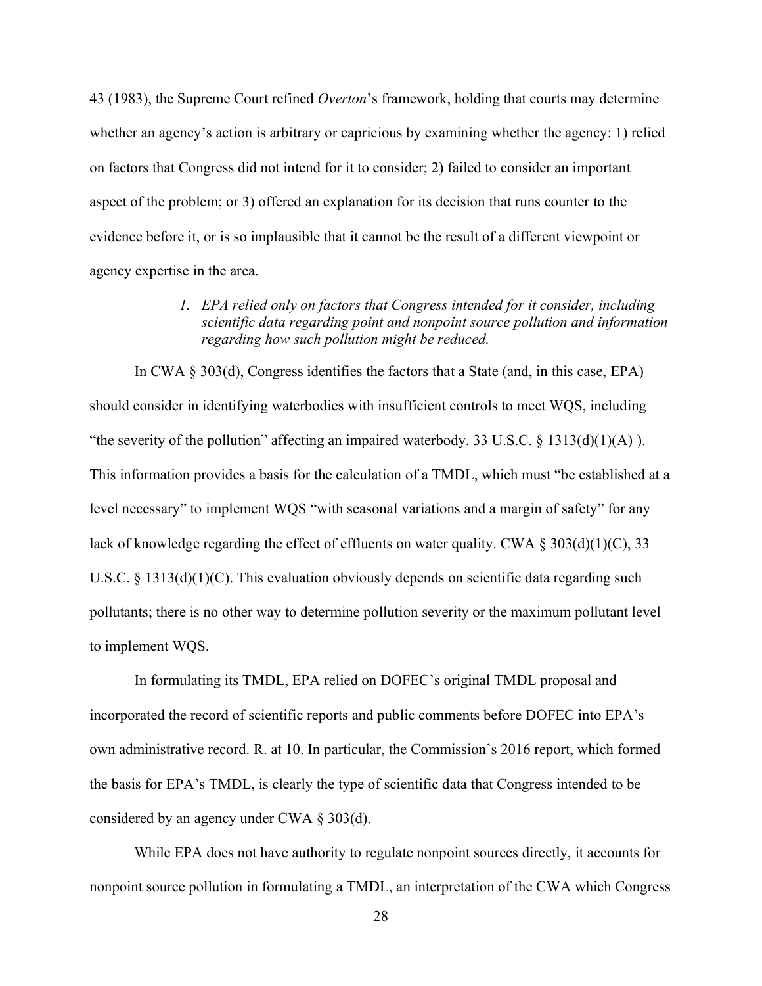43 (1983), the Supreme Court refined *Overton*'s framework, holding that courts may determine whether an agency's action is arbitrary or capricious by examining whether the agency: 1) relied on factors that Congress did not intend for it to consider; 2) failed to consider an important aspect of the problem; or 3) offered an explanation for its decision that runs counter to the evidence before it, or is so implausible that it cannot be the result of a different viewpoint or agency expertise in the area.

> *1. EPA relied only on factors that Congress intended for it consider, including scientific data regarding point and nonpoint source pollution and information regarding how such pollution might be reduced.*

<span id="page-35-0"></span>In CWA § 303(d), Congress identifies the factors that a State (and, in this case, EPA) should consider in identifying waterbodies with insufficient controls to meet WQS, including "the severity of the pollution" affecting an impaired waterbody. 33 U.S.C.  $\S$  1313(d)(1)(A)). This information provides a basis for the calculation of a TMDL, which must "be established at a level necessary" to implement WQS "with seasonal variations and a margin of safety" for any lack of knowledge regarding the effect of effluents on water quality. CWA  $\S 303(d)(1)(C)$ , 33 U.S.C.  $\S$  1313(d)(1)(C). This evaluation obviously depends on scientific data regarding such pollutants; there is no other way to determine pollution severity or the maximum pollutant level to implement WQS.

In formulating its TMDL, EPA relied on DOFEC's original TMDL proposal and incorporated the record of scientific reports and public comments before DOFEC into EPA's own administrative record. R. at 10. In particular, the Commission's 2016 report, which formed the basis for EPA's TMDL, is clearly the type of scientific data that Congress intended to be considered by an agency under CWA § 303(d).

While EPA does not have authority to regulate nonpoint sources directly, it accounts for nonpoint source pollution in formulating a TMDL, an interpretation of the CWA which Congress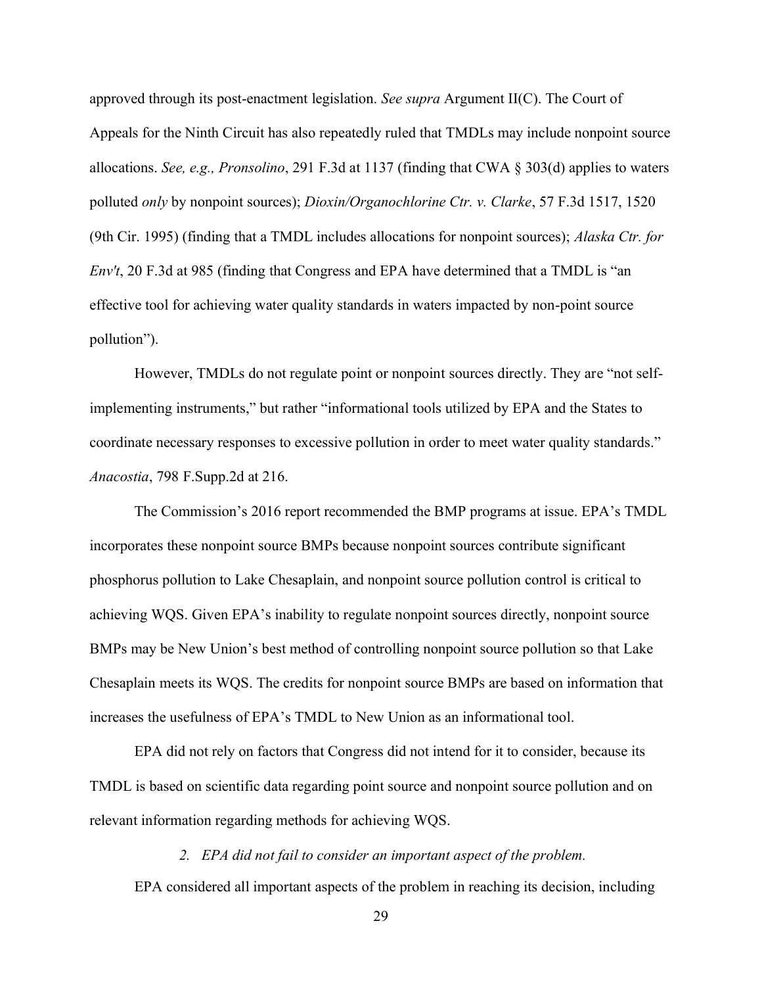approved through its post-enactment legislation. *See supra* Argument II(C). The Court of Appeals for the Ninth Circuit has also repeatedly ruled that TMDLs may include nonpoint source allocations. *See, e.g., Pronsolino*, 291 F.3d at 1137 (finding that CWA § 303(d) applies to waters polluted *only* by nonpoint sources); *Dioxin/Organochlorine Ctr. v. Clarke*, 57 F.3d 1517, 1520 (9th Cir. 1995) (finding that a TMDL includes allocations for nonpoint sources); *Alaska Ctr. for Env't*, 20 F.3d at 985 (finding that Congress and EPA have determined that a TMDL is "an effective tool for achieving water quality standards in waters impacted by non-point source pollution").

However, TMDLs do not regulate point or nonpoint sources directly. They are "not selfimplementing instruments," but rather "informational tools utilized by EPA and the States to coordinate necessary responses to excessive pollution in order to meet water quality standards." *Anacostia*, 798 F.Supp.2d at 216.

The Commission's 2016 report recommended the BMP programs at issue. EPA's TMDL incorporates these nonpoint source BMPs because nonpoint sources contribute significant phosphorus pollution to Lake Chesaplain, and nonpoint source pollution control is critical to achieving WQS. Given EPA's inability to regulate nonpoint sources directly, nonpoint source BMPs may be New Union's best method of controlling nonpoint source pollution so that Lake Chesaplain meets its WQS. The credits for nonpoint source BMPs are based on information that increases the usefulness of EPA's TMDL to New Union as an informational tool.

EPA did not rely on factors that Congress did not intend for it to consider, because its TMDL is based on scientific data regarding point source and nonpoint source pollution and on relevant information regarding methods for achieving WQS.

*2. EPA did not fail to consider an important aspect of the problem.*

<span id="page-36-0"></span>EPA considered all important aspects of the problem in reaching its decision, including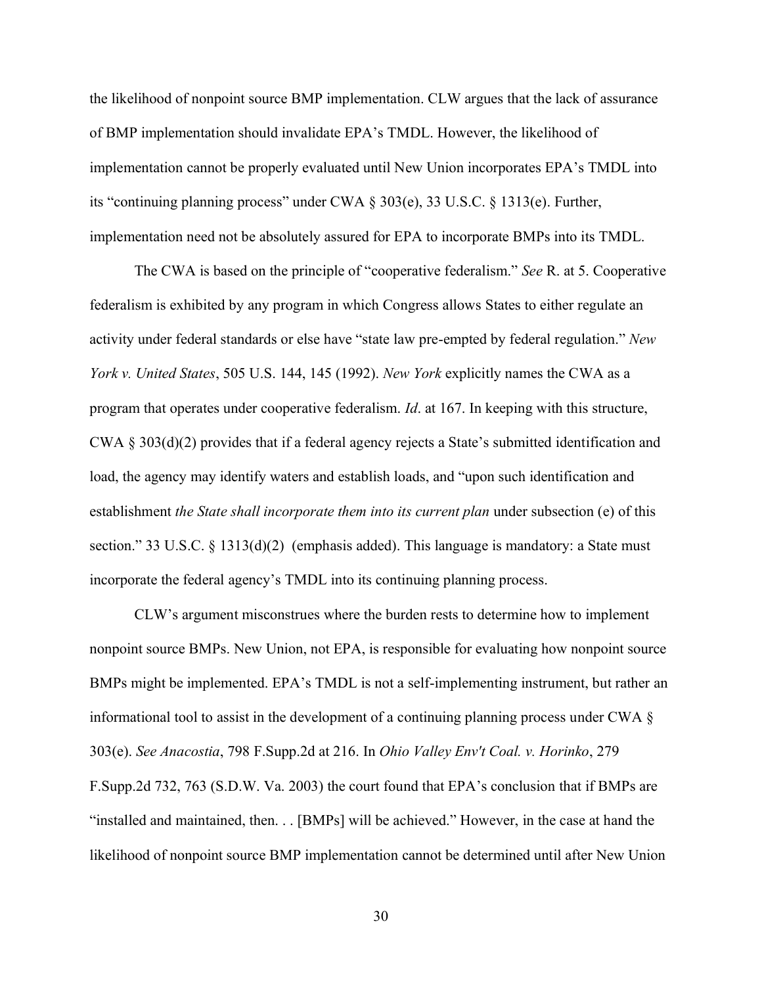the likelihood of nonpoint source BMP implementation. CLW argues that the lack of assurance of BMP implementation should invalidate EPA's TMDL. However, the likelihood of implementation cannot be properly evaluated until New Union incorporates EPA's TMDL into its "continuing planning process" under CWA  $\S$  303(e), 33 U.S.C.  $\S$  1313(e). Further, implementation need not be absolutely assured for EPA to incorporate BMPs into its TMDL.

The CWA is based on the principle of "cooperative federalism." *See* R. at 5. Cooperative federalism is exhibited by any program in which Congress allows States to either regulate an activity under federal standards or else have "state law pre-empted by federal regulation." New *York v. United States*, 505 U.S. 144, 145 (1992). *New York* explicitly names the CWA as a program that operates under cooperative federalism. *Id*. at 167. In keeping with this structure, CWA § 303(d)(2) provides that if a federal agency rejects a State's submitted identification and load, the agency may identify waters and establish loads, and "upon such identification and establishment *the State shall incorporate them into its current plan* under subsection (e) of this section." 33 U.S.C.  $\S$  1313(d)(2) (emphasis added). This language is mandatory: a State must incorporate the federal agency's TMDL into its continuing planning process.

CLW's argument misconstrues where the burden rests to determine how to implement nonpoint source BMPs. New Union, not EPA, is responsible for evaluating how nonpoint source BMPs might be implemented. EPA's TMDL is not a self-implementing instrument, but rather an informational tool to assist in the development of a continuing planning process under CWA § 303(e). *See Anacostia*, 798 F.Supp.2d at 216. In *Ohio Valley Env't Coal. v. Horinko*, 279 F.Supp.2d 732, 763 (S.D.W. Va. 2003) the court found that EPA's conclusion that if BMPs are "installed and maintained, then... [BMPs] will be achieved." However, in the case at hand the likelihood of nonpoint source BMP implementation cannot be determined until after New Union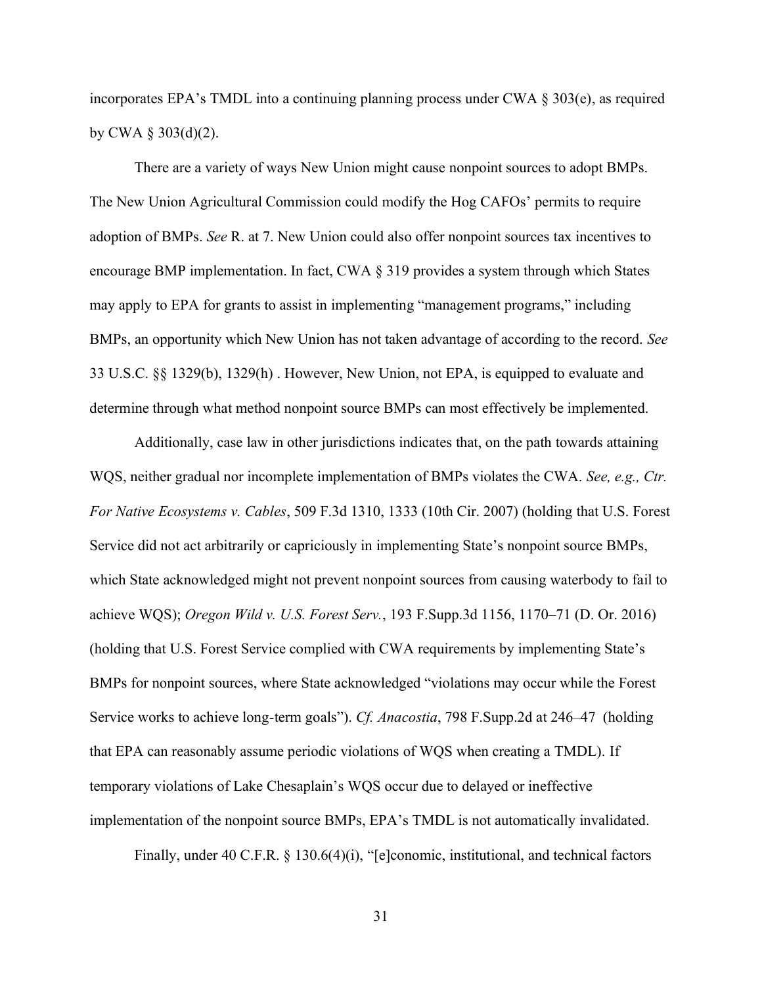incorporates EPA's TMDL into a continuing planning process under CWA  $\S 303(e)$ , as required by CWA  $\S 303(d)(2)$ .

There are a variety of ways New Union might cause nonpoint sources to adopt BMPs. The New Union Agricultural Commission could modify the Hog CAFOs' permits to require adoption of BMPs. *See* R. at 7. New Union could also offer nonpoint sources tax incentives to encourage BMP implementation. In fact, CWA § 319 provides a system through which States may apply to EPA for grants to assist in implementing "management programs," including BMPs, an opportunity which New Union has not taken advantage of according to the record. *See*  33 U.S.C. §§ 1329(b), 1329(h) . However, New Union, not EPA, is equipped to evaluate and determine through what method nonpoint source BMPs can most effectively be implemented.

Additionally, case law in other jurisdictions indicates that, on the path towards attaining WQS, neither gradual nor incomplete implementation of BMPs violates the CWA. *See, e.g., Ctr. For Native Ecosystems v. Cables*, 509 F.3d 1310, 1333 (10th Cir. 2007) (holding that U.S. Forest Service did not act arbitrarily or capriciously in implementing State's nonpoint source BMPs, which State acknowledged might not prevent nonpoint sources from causing waterbody to fail to achieve WQS); *Oregon Wild v. U.S. Forest Serv.*, 193 F.Supp.3d 1156, 1170–71 (D. Or. 2016) (holding that U.S. Forest Service complied with CWA requirements by implementing State's BMPs for nonpoint sources, where State acknowledged "violations may occur while the Forest Service works to achieve long-term goals"). Cf. Anacostia, 798 F.Supp.2d at 246–47 (holding that EPA can reasonably assume periodic violations of WQS when creating a TMDL). If temporary violations of Lake Chesaplain's WQS occur due to delayed or ineffective implementation of the nonpoint source BMPs, EPA's TMDL is not automatically invalidated.

Finally, under 40 C.F.R. § 130.6(4)(i), "[e]conomic, institutional, and technical factors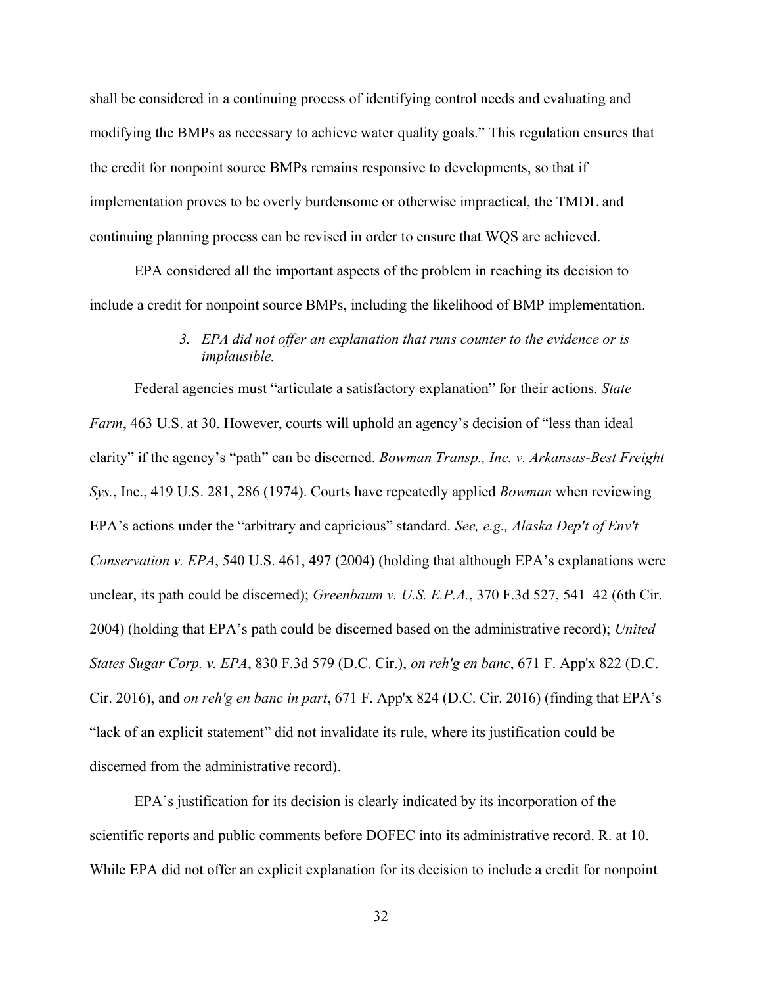shall be considered in a continuing process of identifying control needs and evaluating and modifying the BMPs as necessary to achieve water quality goals." This regulation ensures that the credit for nonpoint source BMPs remains responsive to developments, so that if implementation proves to be overly burdensome or otherwise impractical, the TMDL and continuing planning process can be revised in order to ensure that WQS are achieved.

EPA considered all the important aspects of the problem in reaching its decision to include a credit for nonpoint source BMPs, including the likelihood of BMP implementation.

## *3. EPA did not offer an explanation that runs counter to the evidence or is implausible.*

<span id="page-39-0"></span>Federal agencies must "articulate a satisfactory explanation" for their actions. *State Farm*, 463 U.S. at 30. However, courts will uphold an agency's decision of "less than ideal clarity" if the agency's "path" can be discerned. *Bowman Transp., Inc. v. Arkansas-Best Freight Sys.*, Inc., 419 U.S. 281, 286 (1974). Courts have repeatedly applied *Bowman* when reviewing EPA's actions under the "arbitrary and capricious" standard. See, e.g., *Alaska Dep't of Env't Conservation v. EPA*, 540 U.S. 461, 497 (2004) (holding that although EPA's explanations were unclear, its path could be discerned); *Greenbaum v. U.S. E.P.A.*, 370 F.3d 527, 541–42 (6th Cir. 2004) (holding that EPA's path could be discerned based on the administrative record); *United States Sugar Corp. v. EPA*, 830 F.3d 579 (D.C. Cir.), *on reh'g en banc*, 671 F. App'x 822 (D.C. Cir. 2016), and *on reh'g en banc in part*,  $671$  F. App'x 824 (D.C. Cir. 2016) (finding that EPA's "lack of an explicit statement" did not invalidate its rule, where its justification could be discerned from the administrative record).

EPA's justification for its decision is clearly indicated by its incorporation of the scientific reports and public comments before DOFEC into its administrative record. R. at 10. While EPA did not offer an explicit explanation for its decision to include a credit for nonpoint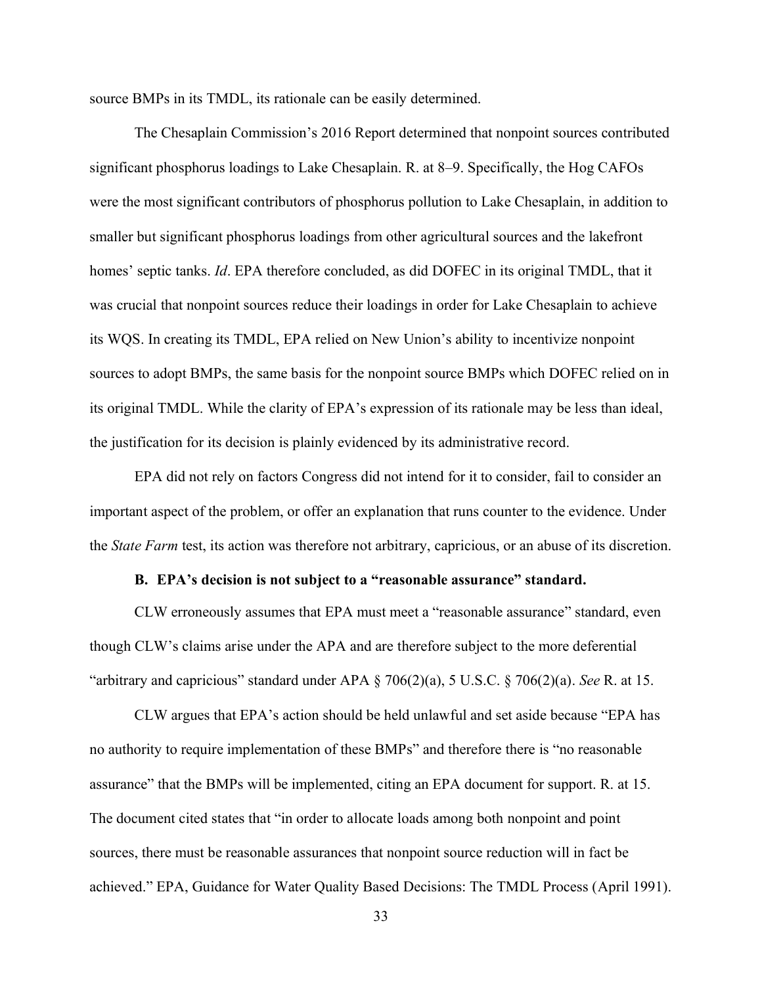source BMPs in its TMDL, its rationale can be easily determined.

The Chesaplain Commission's 2016 Report determined that nonpoint sources contributed significant phosphorus loadings to Lake Chesaplain. R. at 8–9. Specifically, the Hog CAFOs were the most significant contributors of phosphorus pollution to Lake Chesaplain, in addition to smaller but significant phosphorus loadings from other agricultural sources and the lakefront homes' septic tanks. *Id*. EPA therefore concluded, as did DOFEC in its original TMDL, that it was crucial that nonpoint sources reduce their loadings in order for Lake Chesaplain to achieve its WOS. In creating its TMDL, EPA relied on New Union's ability to incentivize nonpoint sources to adopt BMPs, the same basis for the nonpoint source BMPs which DOFEC relied on in its original TMDL. While the clarity of EPA's expression of its rationale may be less than ideal, the justification for its decision is plainly evidenced by its administrative record.

EPA did not rely on factors Congress did not intend for it to consider, fail to consider an important aspect of the problem, or offer an explanation that runs counter to the evidence. Under the *State Farm* test, its action was therefore not arbitrary, capricious, or an abuse of its discretion.

#### **B. EPA's decision is not subject to a "reasonable assurance" standard.**

<span id="page-40-0"></span>CLW erroneously assumes that EPA must meet a "reasonable assurance" standard, even though CLW's claims arise under the APA and are therefore subject to the more deferential "arbitrary and capricious" standard under APA  $\S$  706(2)(a), 5 U.S.C.  $\S$  706(2)(a). *See* R. at 15.

CLW argues that EPA's action should be held unlawful and set aside because "EPA has no authority to require implementation of these BMPs" and therefore there is "no reasonable assurance" that the BMPs will be implemented, citing an EPA document for support. R. at 15. The document cited states that "in order to allocate loads among both nonpoint and point sources, there must be reasonable assurances that nonpoint source reduction will in fact be achieved." EPA, Guidance for Water Quality Based Decisions: The TMDL Process (April 1991).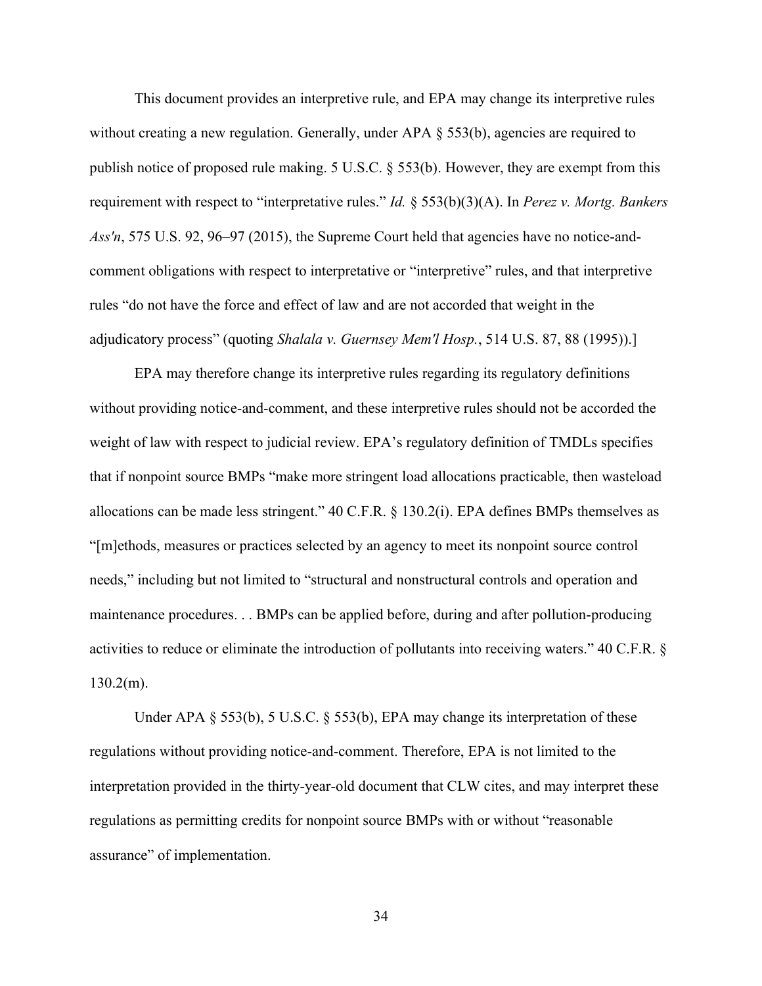This document provides an interpretive rule, and EPA may change its interpretive rules without creating a new regulation. Generally, under APA § 553(b), agencies are required to publish notice of proposed rule making. 5 U.S.C. § 553(b). However, they are exempt from this requirement with respect to "interpretative rules." *Id.* § 553(b)(3)(A). In *Perez v. Mortg. Bankers Ass'n*, 575 U.S. 92, 96–97 (2015), the Supreme Court held that agencies have no notice-andcomment obligations with respect to interpretative or "interpretive" rules, and that interpretive rules "do not have the force and effect of law and are not accorded that weight in the adjudicatory process" (quoting *Shalala v. Guernsey Mem'l Hosp.*, 514 U.S. 87, 88 (1995)).]

EPA may therefore change its interpretive rules regarding its regulatory definitions without providing notice-and-comment, and these interpretive rules should not be accorded the weight of law with respect to judicial review. EPA's regulatory definition of TMDLs specifies that if nonpoint source BMPs "make more stringent load allocations practicable, then wasteload allocations can be made less stringent."  $40$  C.F.R. § 130.2(i). EPA defines BMPs themselves as "[m]ethods, measures or practices selected by an agency to meet its nonpoint source control needs," including but not limited to "structural and nonstructural controls and operation and maintenance procedures. . . BMPs can be applied before, during and after pollution-producing activities to reduce or eliminate the introduction of pollutants into receiving waters."  $40$  C.F.R. §  $130.2(m)$ .

Under APA § 553(b), 5 U.S.C. § 553(b), EPA may change its interpretation of these regulations without providing notice-and-comment. Therefore, EPA is not limited to the interpretation provided in the thirty-year-old document that CLW cites, and may interpret these regulations as permitting credits for nonpoint source BMPs with or without "reasonable assurance" of implementation.